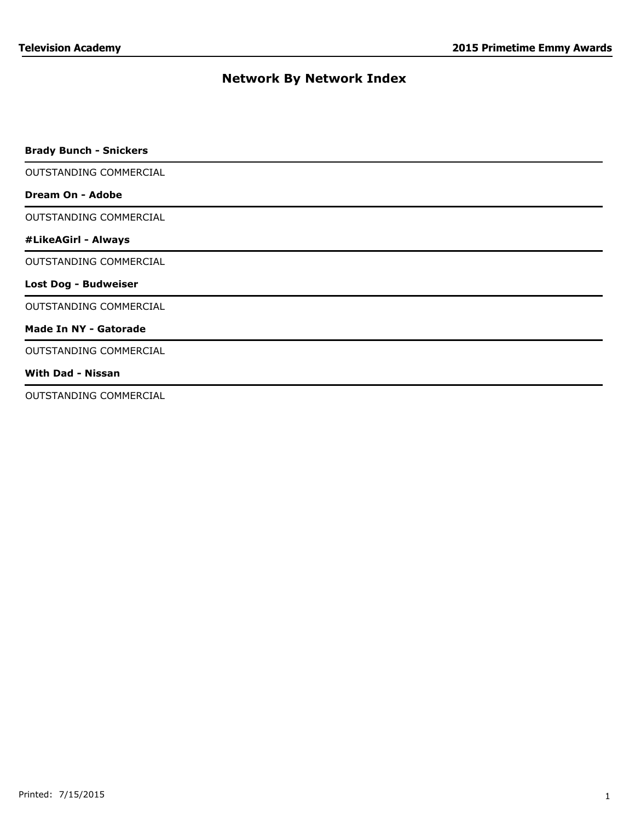| <b>Brady Bunch - Snickers</b> |  |
|-------------------------------|--|
| OUTSTANDING COMMERCIAL        |  |
| Dream On - Adobe              |  |
| OUTSTANDING COMMERCIAL        |  |
| #LikeAGirl - Always           |  |
| OUTSTANDING COMMERCIAL        |  |
| <b>Lost Dog - Budweiser</b>   |  |
| OUTSTANDING COMMERCIAL        |  |
| <b>Made In NY - Gatorade</b>  |  |
| OUTSTANDING COMMERCIAL        |  |
| <b>With Dad - Nissan</b>      |  |
| OUTSTANDING COMMERCIAL        |  |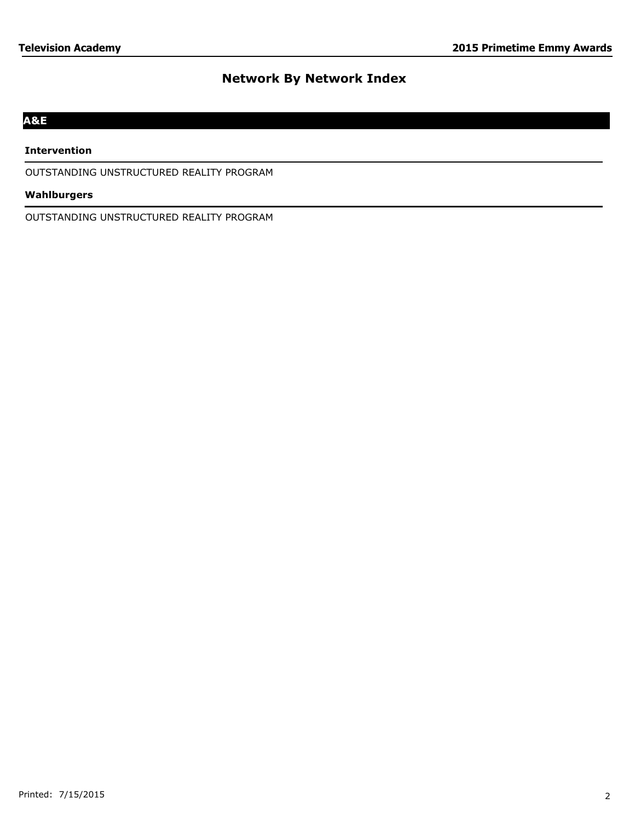# **A&E**

#### **Intervention**

OUTSTANDING UNSTRUCTURED REALITY PROGRAM

## **Wahlburgers**

OUTSTANDING UNSTRUCTURED REALITY PROGRAM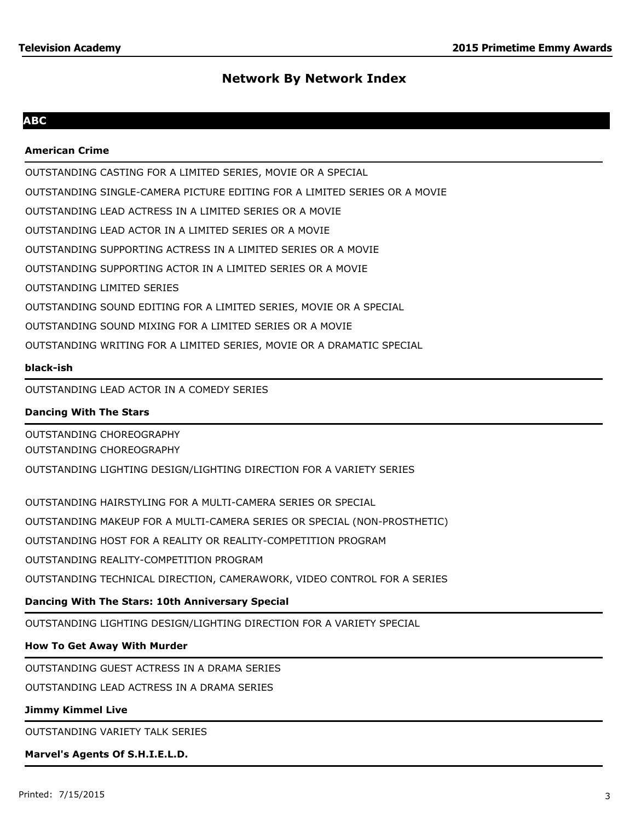## **ABC**

## **American Crime**

OUTSTANDING CASTING FOR A LIMITED SERIES, MOVIE OR A SPECIAL

OUTSTANDING SINGLE-CAMERA PICTURE EDITING FOR A LIMITED SERIES OR A MOVIE

OUTSTANDING LEAD ACTRESS IN A LIMITED SERIES OR A MOVIE

OUTSTANDING LEAD ACTOR IN A LIMITED SERIES OR A MOVIE

OUTSTANDING SUPPORTING ACTRESS IN A LIMITED SERIES OR A MOVIE

OUTSTANDING SUPPORTING ACTOR IN A LIMITED SERIES OR A MOVIE

OUTSTANDING LIMITED SERIES

OUTSTANDING SOUND EDITING FOR A LIMITED SERIES, MOVIE OR A SPECIAL

OUTSTANDING SOUND MIXING FOR A LIMITED SERIES OR A MOVIE

OUTSTANDING WRITING FOR A LIMITED SERIES, MOVIE OR A DRAMATIC SPECIAL

#### **black-ish**

OUTSTANDING LEAD ACTOR IN A COMEDY SERIES

## **Dancing With The Stars**

OUTSTANDING CHOREOGRAPHY OUTSTANDING CHOREOGRAPHY

OUTSTANDING LIGHTING DESIGN/LIGHTING DIRECTION FOR A VARIETY SERIES

OUTSTANDING HAIRSTYLING FOR A MULTI-CAMERA SERIES OR SPECIAL OUTSTANDING MAKEUP FOR A MULTI-CAMERA SERIES OR SPECIAL (NON-PROSTHETIC) OUTSTANDING HOST FOR A REALITY OR REALITY-COMPETITION PROGRAM OUTSTANDING REALITY-COMPETITION PROGRAM OUTSTANDING TECHNICAL DIRECTION, CAMERAWORK, VIDEO CONTROL FOR A SERIES

## **Dancing With The Stars: 10th Anniversary Special**

OUTSTANDING LIGHTING DESIGN/LIGHTING DIRECTION FOR A VARIETY SPECIAL

#### **How To Get Away With Murder**

OUTSTANDING GUEST ACTRESS IN A DRAMA SERIES

OUTSTANDING LEAD ACTRESS IN A DRAMA SERIES

# **Jimmy Kimmel Live**

OUTSTANDING VARIETY TALK SERIES

# **Marvel's Agents Of S.H.I.E.L.D.**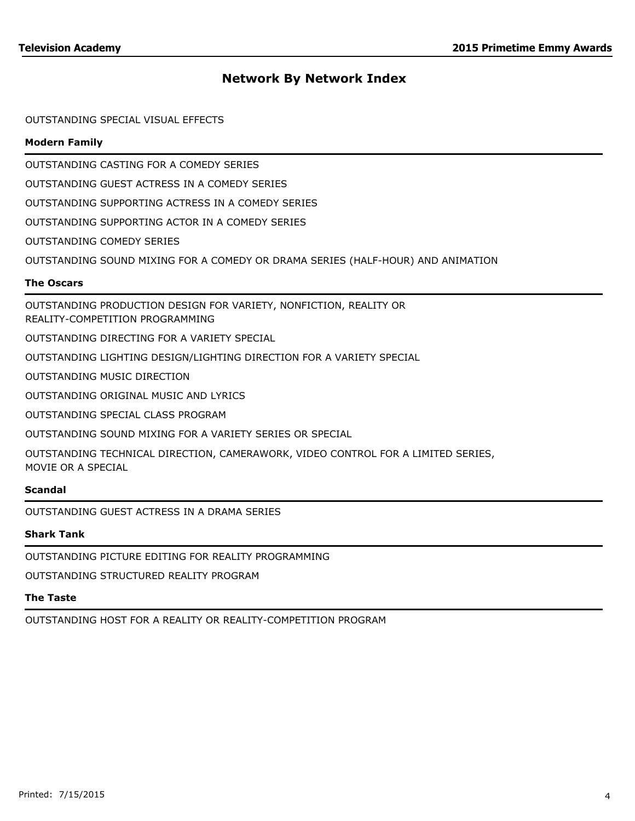### OUTSTANDING SPECIAL VISUAL EFFECTS

## **Modern Family**

OUTSTANDING CASTING FOR A COMEDY SERIES

OUTSTANDING GUEST ACTRESS IN A COMEDY SERIES

OUTSTANDING SUPPORTING ACTRESS IN A COMEDY SERIES

OUTSTANDING SUPPORTING ACTOR IN A COMEDY SERIES

OUTSTANDING COMEDY SERIES

OUTSTANDING SOUND MIXING FOR A COMEDY OR DRAMA SERIES (HALF-HOUR) AND ANIMATION

#### **The Oscars**

OUTSTANDING PRODUCTION DESIGN FOR VARIETY, NONFICTION, REALITY OR REALITY-COMPETITION PROGRAMMING

OUTSTANDING DIRECTING FOR A VARIETY SPECIAL

OUTSTANDING LIGHTING DESIGN/LIGHTING DIRECTION FOR A VARIETY SPECIAL

OUTSTANDING MUSIC DIRECTION

OUTSTANDING ORIGINAL MUSIC AND LYRICS

OUTSTANDING SPECIAL CLASS PROGRAM

OUTSTANDING SOUND MIXING FOR A VARIETY SERIES OR SPECIAL

OUTSTANDING TECHNICAL DIRECTION, CAMERAWORK, VIDEO CONTROL FOR A LIMITED SERIES, MOVIE OR A SPECIAL

#### **Scandal**

OUTSTANDING GUEST ACTRESS IN A DRAMA SERIES

### **Shark Tank**

OUTSTANDING PICTURE EDITING FOR REALITY PROGRAMMING

OUTSTANDING STRUCTURED REALITY PROGRAM

# **The Taste**

OUTSTANDING HOST FOR A REALITY OR REALITY-COMPETITION PROGRAM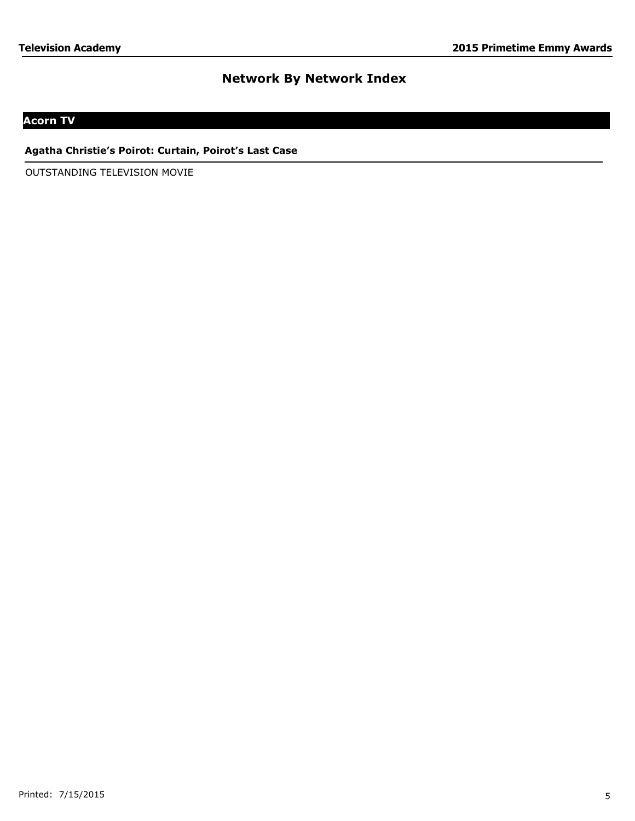# **Acorn TV**

## **Agatha Christie's Poirot: Curtain, Poirot's Last Case**

OUTSTANDING TELEVISION MOVIE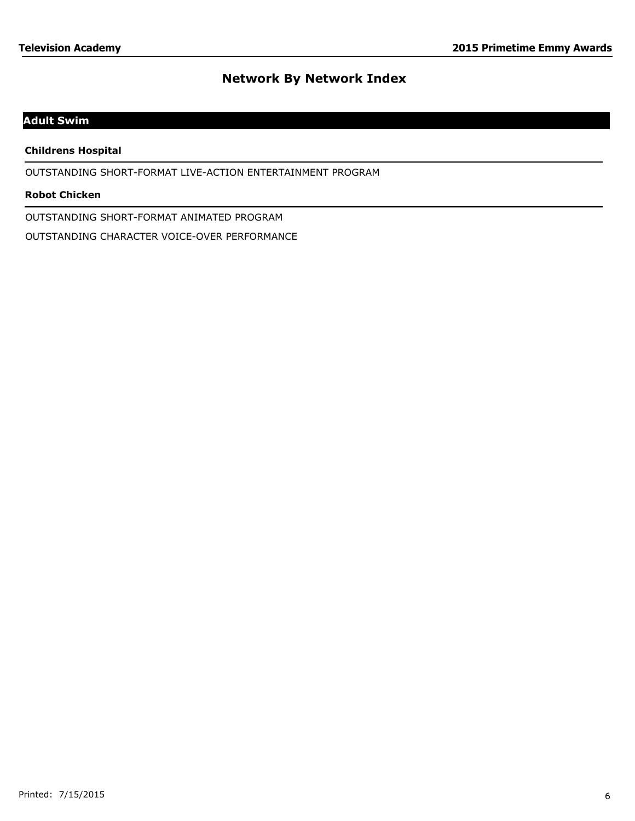# **Adult Swim**

## **Childrens Hospital**

OUTSTANDING SHORT-FORMAT LIVE-ACTION ENTERTAINMENT PROGRAM

### **Robot Chicken**

OUTSTANDING SHORT-FORMAT ANIMATED PROGRAM

OUTSTANDING CHARACTER VOICE-OVER PERFORMANCE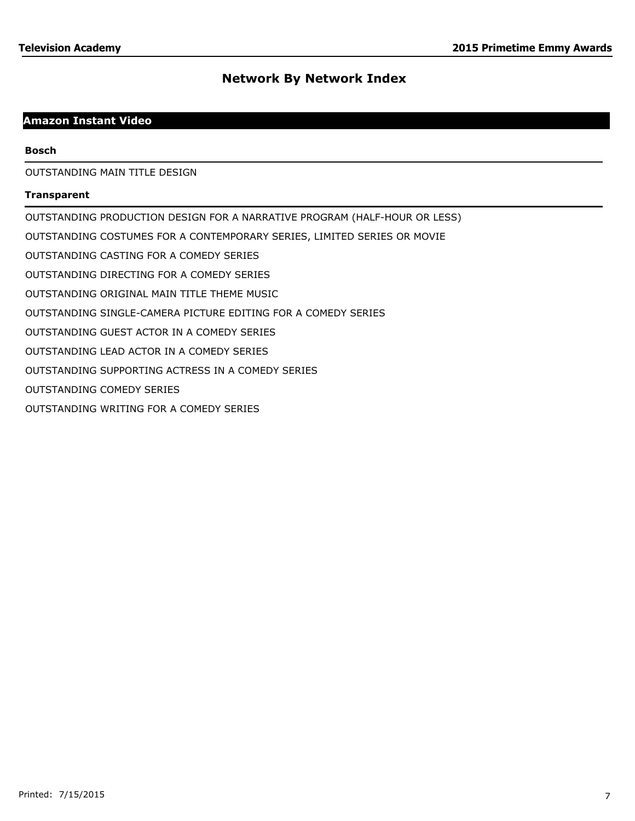# **Amazon Instant Video**

#### **Bosch**

OUTSTANDING MAIN TITLE DESIGN

#### **Transparent**

OUTSTANDING PRODUCTION DESIGN FOR A NARRATIVE PROGRAM (HALF-HOUR OR LESS) OUTSTANDING COSTUMES FOR A CONTEMPORARY SERIES, LIMITED SERIES OR MOVIE OUTSTANDING CASTING FOR A COMEDY SERIES OUTSTANDING DIRECTING FOR A COMEDY SERIES OUTSTANDING ORIGINAL MAIN TITLE THEME MUSIC OUTSTANDING SINGLE-CAMERA PICTURE EDITING FOR A COMEDY SERIES OUTSTANDING GUEST ACTOR IN A COMEDY SERIES OUTSTANDING LEAD ACTOR IN A COMEDY SERIES OUTSTANDING SUPPORTING ACTRESS IN A COMEDY SERIES OUTSTANDING COMEDY SERIES OUTSTANDING WRITING FOR A COMEDY SERIES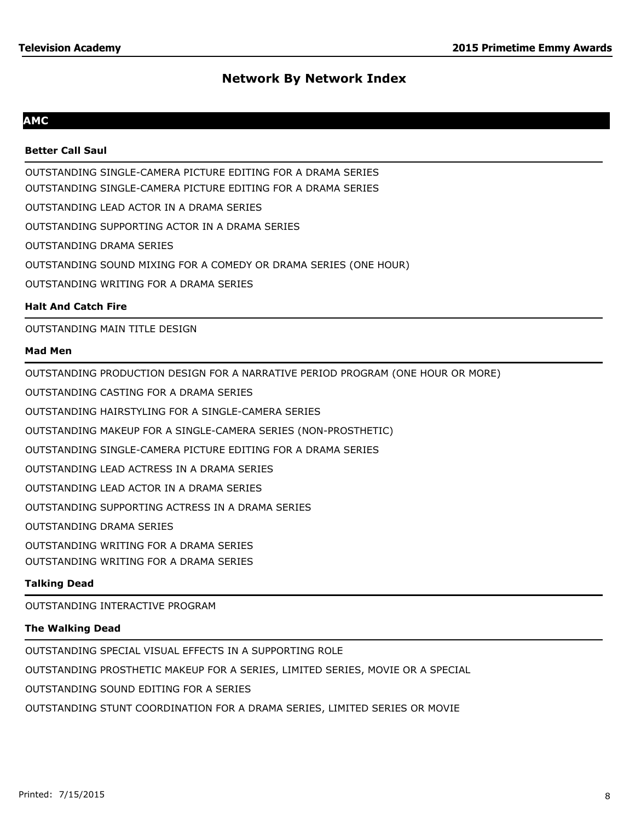## **AMC**

### **Better Call Saul**

OUTSTANDING SINGLE-CAMERA PICTURE EDITING FOR A DRAMA SERIES OUTSTANDING SINGLE-CAMERA PICTURE EDITING FOR A DRAMA SERIES OUTSTANDING LEAD ACTOR IN A DRAMA SERIES OUTSTANDING SUPPORTING ACTOR IN A DRAMA SERIES OUTSTANDING DRAMA SERIES OUTSTANDING SOUND MIXING FOR A COMEDY OR DRAMA SERIES (ONE HOUR) OUTSTANDING WRITING FOR A DRAMA SERIES

## **Halt And Catch Fire**

OUTSTANDING MAIN TITLE DESIGN

#### **Mad Men**

OUTSTANDING PRODUCTION DESIGN FOR A NARRATIVE PERIOD PROGRAM (ONE HOUR OR MORE)

OUTSTANDING CASTING FOR A DRAMA SERIES

OUTSTANDING HAIRSTYLING FOR A SINGLE-CAMERA SERIES

OUTSTANDING MAKEUP FOR A SINGLE-CAMERA SERIES (NON-PROSTHETIC)

OUTSTANDING SINGLE-CAMERA PICTURE EDITING FOR A DRAMA SERIES

OUTSTANDING LEAD ACTRESS IN A DRAMA SERIES

OUTSTANDING LEAD ACTOR IN A DRAMA SERIES

OUTSTANDING SUPPORTING ACTRESS IN A DRAMA SERIES

OUTSTANDING DRAMA SERIES

OUTSTANDING WRITING FOR A DRAMA SERIES

OUTSTANDING WRITING FOR A DRAMA SERIES

## **Talking Dead**

OUTSTANDING INTERACTIVE PROGRAM

#### **The Walking Dead**

OUTSTANDING SPECIAL VISUAL EFFECTS IN A SUPPORTING ROLE

OUTSTANDING PROSTHETIC MAKEUP FOR A SERIES, LIMITED SERIES, MOVIE OR A SPECIAL

OUTSTANDING SOUND EDITING FOR A SERIES

OUTSTANDING STUNT COORDINATION FOR A DRAMA SERIES, LIMITED SERIES OR MOVIE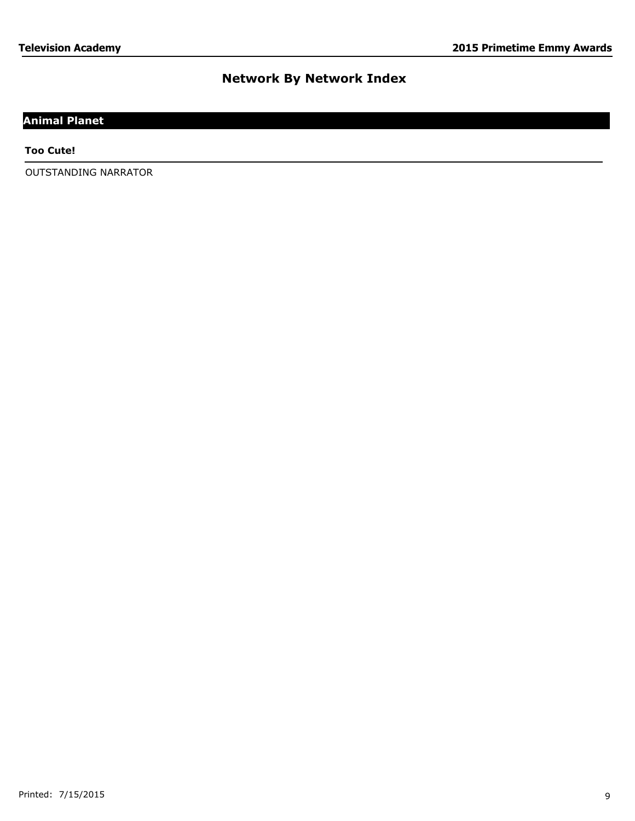# **Animal Planet**

**Too Cute!**

OUTSTANDING NARRATOR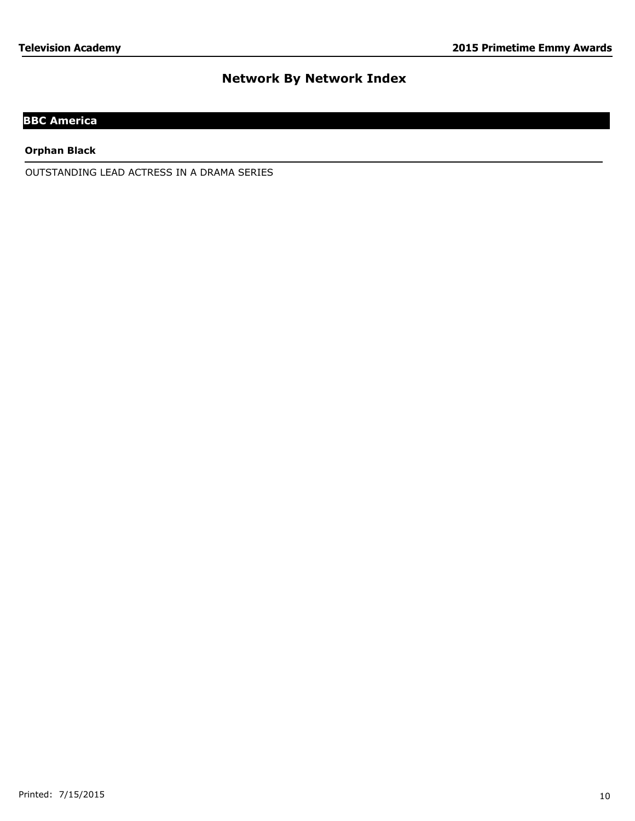# **BBC America**

**Orphan Black**

OUTSTANDING LEAD ACTRESS IN A DRAMA SERIES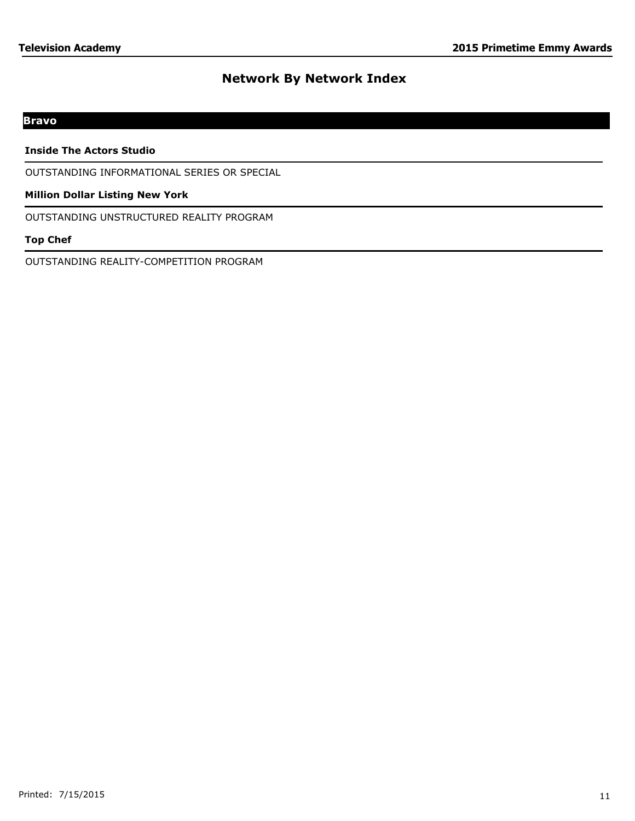# **Bravo**

#### **Inside The Actors Studio**

OUTSTANDING INFORMATIONAL SERIES OR SPECIAL

#### **Million Dollar Listing New York**

OUTSTANDING UNSTRUCTURED REALITY PROGRAM

## **Top Chef**

OUTSTANDING REALITY-COMPETITION PROGRAM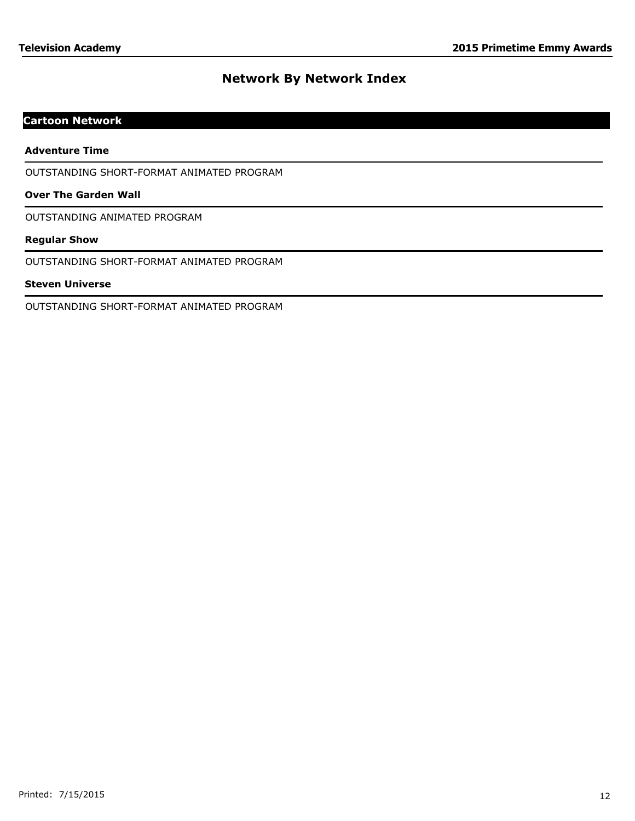# **Cartoon Network**

#### **Adventure Time**

OUTSTANDING SHORT-FORMAT ANIMATED PROGRAM

### **Over The Garden Wall**

OUTSTANDING ANIMATED PROGRAM

#### **Regular Show**

OUTSTANDING SHORT-FORMAT ANIMATED PROGRAM

#### **Steven Universe**

OUTSTANDING SHORT-FORMAT ANIMATED PROGRAM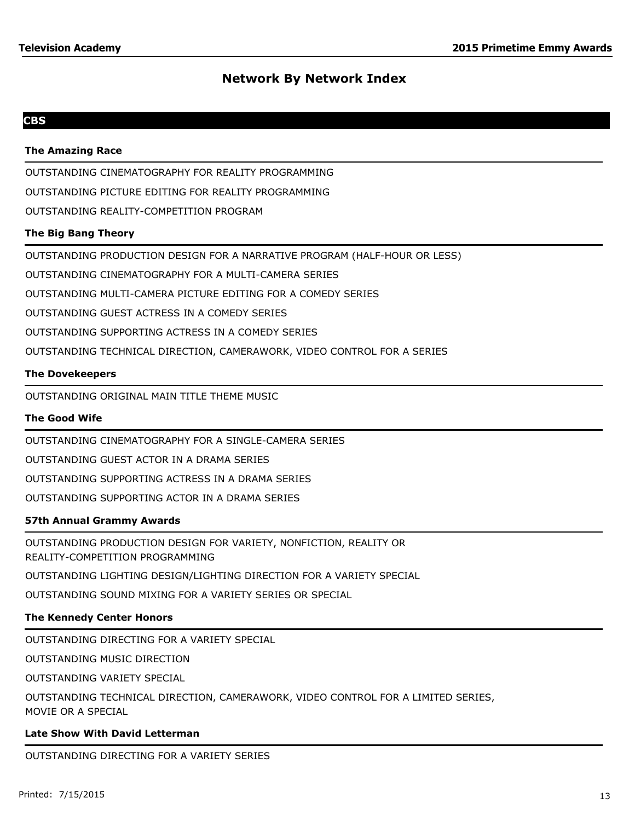## **CBS**

#### **The Amazing Race**

OUTSTANDING CINEMATOGRAPHY FOR REALITY PROGRAMMING

OUTSTANDING PICTURE EDITING FOR REALITY PROGRAMMING

OUTSTANDING REALITY-COMPETITION PROGRAM

#### **The Big Bang Theory**

OUTSTANDING PRODUCTION DESIGN FOR A NARRATIVE PROGRAM (HALF-HOUR OR LESS)

OUTSTANDING CINEMATOGRAPHY FOR A MULTI-CAMERA SERIES

OUTSTANDING MULTI-CAMERA PICTURE EDITING FOR A COMEDY SERIES

OUTSTANDING GUEST ACTRESS IN A COMEDY SERIES

OUTSTANDING SUPPORTING ACTRESS IN A COMEDY SERIES

OUTSTANDING TECHNICAL DIRECTION, CAMERAWORK, VIDEO CONTROL FOR A SERIES

#### **The Dovekeepers**

OUTSTANDING ORIGINAL MAIN TITLE THEME MUSIC

#### **The Good Wife**

OUTSTANDING CINEMATOGRAPHY FOR A SINGLE-CAMERA SERIES

OUTSTANDING GUEST ACTOR IN A DRAMA SERIES

OUTSTANDING SUPPORTING ACTRESS IN A DRAMA SERIES

OUTSTANDING SUPPORTING ACTOR IN A DRAMA SERIES

## **57th Annual Grammy Awards**

OUTSTANDING PRODUCTION DESIGN FOR VARIETY, NONFICTION, REALITY OR REALITY-COMPETITION PROGRAMMING

OUTSTANDING LIGHTING DESIGN/LIGHTING DIRECTION FOR A VARIETY SPECIAL

OUTSTANDING SOUND MIXING FOR A VARIETY SERIES OR SPECIAL

## **The Kennedy Center Honors**

OUTSTANDING DIRECTING FOR A VARIETY SPECIAL

OUTSTANDING MUSIC DIRECTION

OUTSTANDING VARIETY SPECIAL

OUTSTANDING TECHNICAL DIRECTION, CAMERAWORK, VIDEO CONTROL FOR A LIMITED SERIES, MOVIE OR A SPECIAL

#### **Late Show With David Letterman**

OUTSTANDING DIRECTING FOR A VARIETY SERIES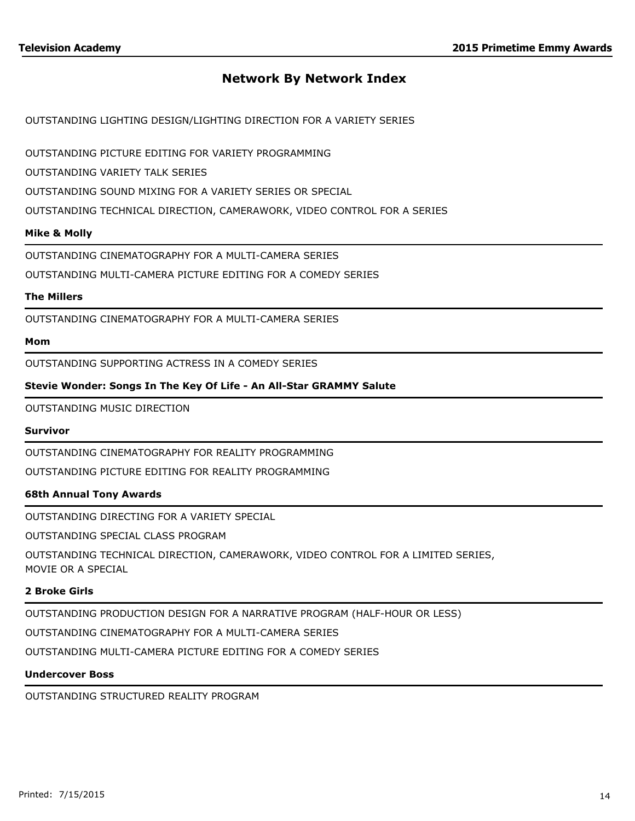OUTSTANDING LIGHTING DESIGN/LIGHTING DIRECTION FOR A VARIETY SERIES

OUTSTANDING PICTURE EDITING FOR VARIETY PROGRAMMING

OUTSTANDING VARIETY TALK SERIES

OUTSTANDING SOUND MIXING FOR A VARIETY SERIES OR SPECIAL

OUTSTANDING TECHNICAL DIRECTION, CAMERAWORK, VIDEO CONTROL FOR A SERIES

#### **Mike & Molly**

OUTSTANDING CINEMATOGRAPHY FOR A MULTI-CAMERA SERIES

OUTSTANDING MULTI-CAMERA PICTURE EDITING FOR A COMEDY SERIES

#### **The Millers**

OUTSTANDING CINEMATOGRAPHY FOR A MULTI-CAMERA SERIES

#### **Mom**

OUTSTANDING SUPPORTING ACTRESS IN A COMEDY SERIES

## **Stevie Wonder: Songs In The Key Of Life - An All-Star GRAMMY Salute**

OUTSTANDING MUSIC DIRECTION

#### **Survivor**

OUTSTANDING CINEMATOGRAPHY FOR REALITY PROGRAMMING

OUTSTANDING PICTURE EDITING FOR REALITY PROGRAMMING

## **68th Annual Tony Awards**

OUTSTANDING DIRECTING FOR A VARIETY SPECIAL

OUTSTANDING SPECIAL CLASS PROGRAM

OUTSTANDING TECHNICAL DIRECTION, CAMERAWORK, VIDEO CONTROL FOR A LIMITED SERIES, MOVIE OR A SPECIAL

#### **2 Broke Girls**

OUTSTANDING PRODUCTION DESIGN FOR A NARRATIVE PROGRAM (HALF-HOUR OR LESS)

OUTSTANDING CINEMATOGRAPHY FOR A MULTI-CAMERA SERIES

OUTSTANDING MULTI-CAMERA PICTURE EDITING FOR A COMEDY SERIES

#### **Undercover Boss**

OUTSTANDING STRUCTURED REALITY PROGRAM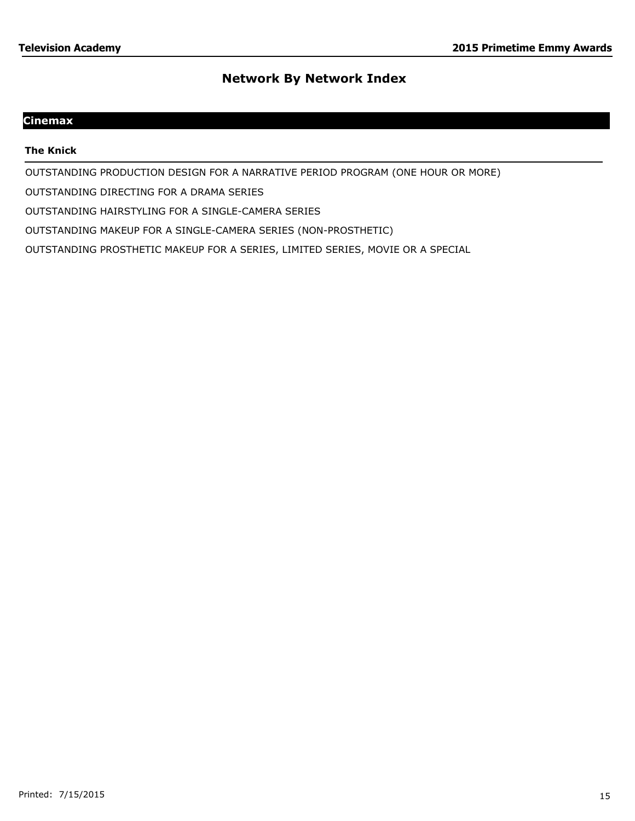# **Cinemax**

#### **The Knick**

OUTSTANDING PRODUCTION DESIGN FOR A NARRATIVE PERIOD PROGRAM (ONE HOUR OR MORE)

OUTSTANDING DIRECTING FOR A DRAMA SERIES

OUTSTANDING HAIRSTYLING FOR A SINGLE-CAMERA SERIES

OUTSTANDING MAKEUP FOR A SINGLE-CAMERA SERIES (NON-PROSTHETIC)

OUTSTANDING PROSTHETIC MAKEUP FOR A SERIES, LIMITED SERIES, MOVIE OR A SPECIAL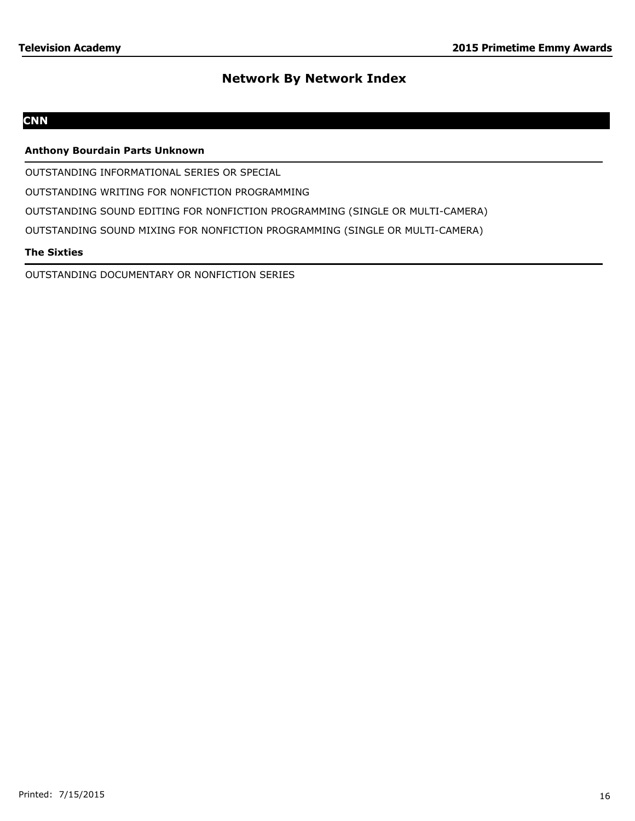# **CNN**

## **Anthony Bourdain Parts Unknown**

OUTSTANDING INFORMATIONAL SERIES OR SPECIAL

OUTSTANDING WRITING FOR NONFICTION PROGRAMMING

OUTSTANDING SOUND EDITING FOR NONFICTION PROGRAMMING (SINGLE OR MULTI-CAMERA)

OUTSTANDING SOUND MIXING FOR NONFICTION PROGRAMMING (SINGLE OR MULTI-CAMERA)

## **The Sixties**

OUTSTANDING DOCUMENTARY OR NONFICTION SERIES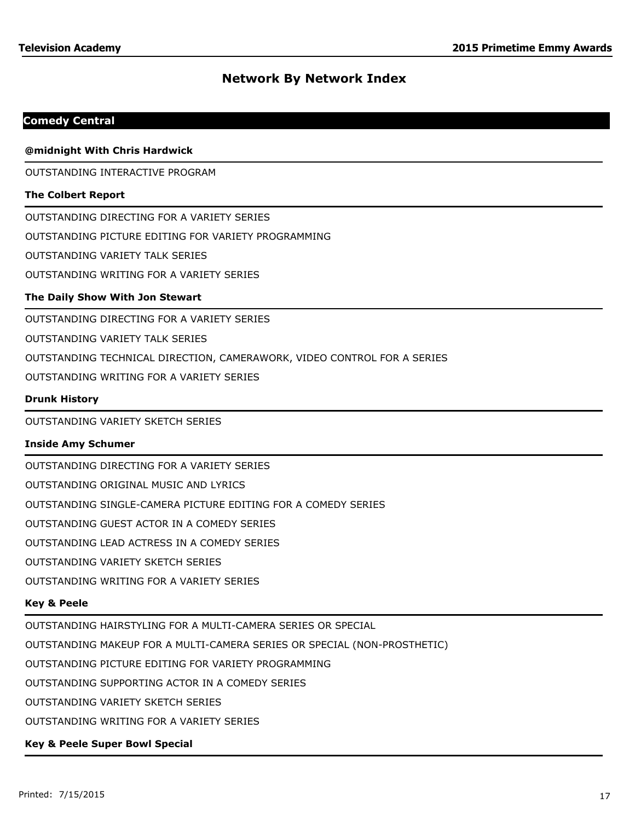## **Comedy Central**

#### **@midnight With Chris Hardwick**

OUTSTANDING INTERACTIVE PROGRAM

#### **The Colbert Report**

OUTSTANDING DIRECTING FOR A VARIETY SERIES

OUTSTANDING PICTURE EDITING FOR VARIETY PROGRAMMING

OUTSTANDING VARIETY TALK SERIES

OUTSTANDING WRITING FOR A VARIETY SERIES

#### **The Daily Show With Jon Stewart**

OUTSTANDING DIRECTING FOR A VARIETY SERIES

OUTSTANDING VARIETY TALK SERIES

OUTSTANDING TECHNICAL DIRECTION, CAMERAWORK, VIDEO CONTROL FOR A SERIES

OUTSTANDING WRITING FOR A VARIETY SERIES

#### **Drunk History**

OUTSTANDING VARIETY SKETCH SERIES

#### **Inside Amy Schumer**

OUTSTANDING DIRECTING FOR A VARIETY SERIES OUTSTANDING ORIGINAL MUSIC AND LYRICS OUTSTANDING SINGLE-CAMERA PICTURE EDITING FOR A COMEDY SERIES OUTSTANDING GUEST ACTOR IN A COMEDY SERIES OUTSTANDING LEAD ACTRESS IN A COMEDY SERIES OUTSTANDING VARIETY SKETCH SERIES OUTSTANDING WRITING FOR A VARIETY SERIES

#### **Key & Peele**

OUTSTANDING HAIRSTYLING FOR A MULTI-CAMERA SERIES OR SPECIAL

OUTSTANDING MAKEUP FOR A MULTI-CAMERA SERIES OR SPECIAL (NON-PROSTHETIC)

OUTSTANDING PICTURE EDITING FOR VARIETY PROGRAMMING

OUTSTANDING SUPPORTING ACTOR IN A COMEDY SERIES

OUTSTANDING VARIETY SKETCH SERIES

OUTSTANDING WRITING FOR A VARIETY SERIES

#### **Key & Peele Super Bowl Special**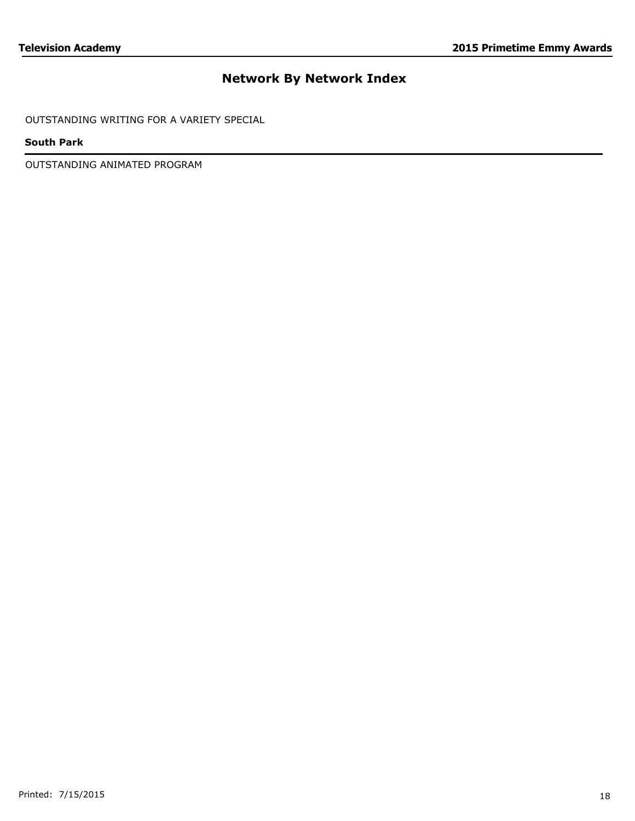OUTSTANDING WRITING FOR A VARIETY SPECIAL

## **South Park**

OUTSTANDING ANIMATED PROGRAM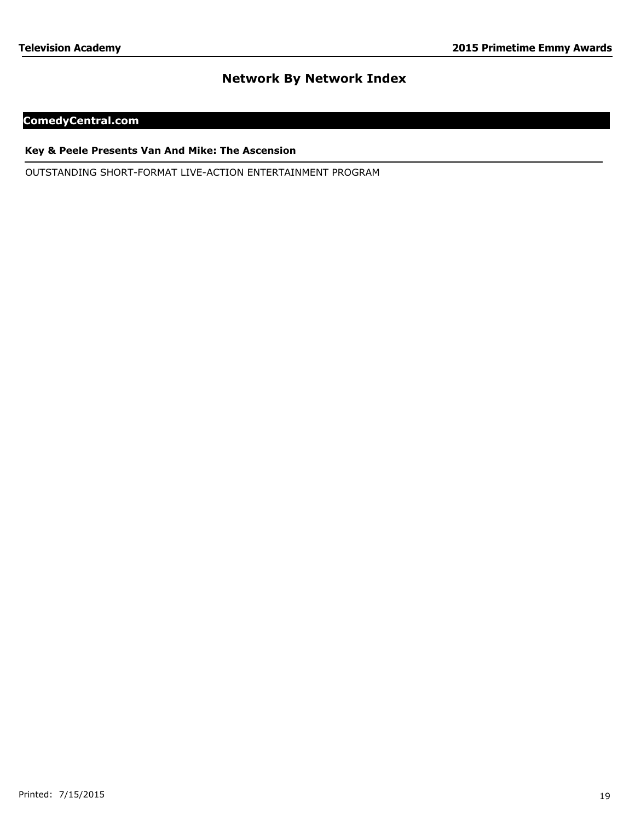# **ComedyCentral.com**

#### **Key & Peele Presents Van And Mike: The Ascension**

OUTSTANDING SHORT-FORMAT LIVE-ACTION ENTERTAINMENT PROGRAM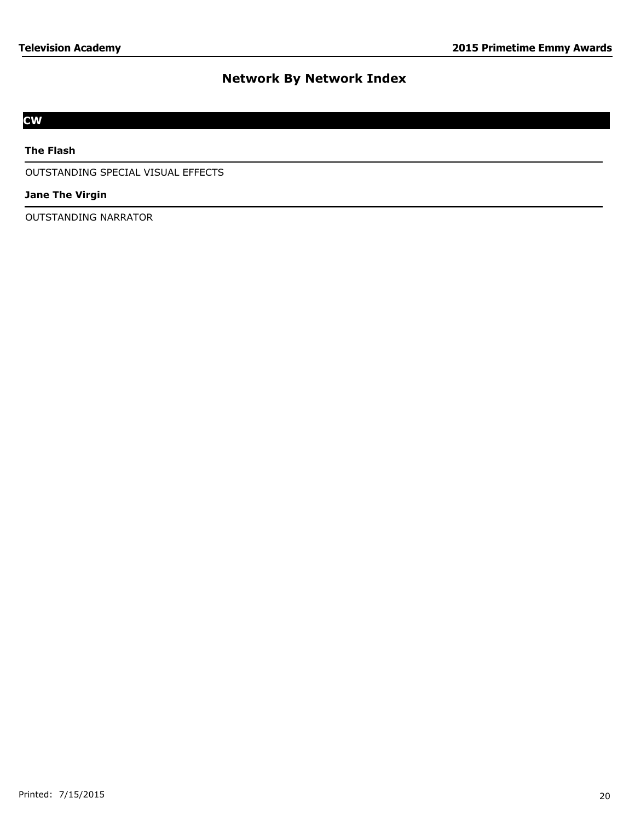# **CW**

## **The Flash**

OUTSTANDING SPECIAL VISUAL EFFECTS

### **Jane The Virgin**

OUTSTANDING NARRATOR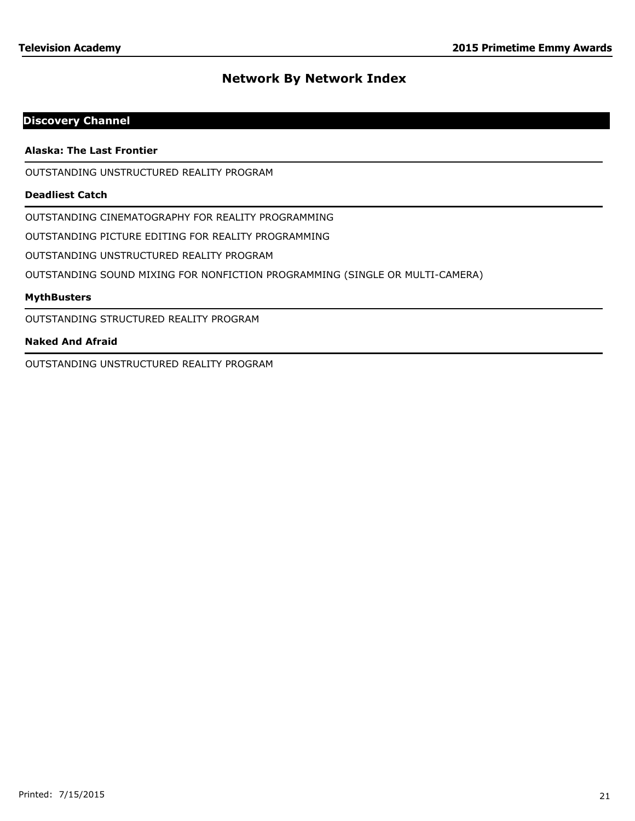# **Discovery Channel**

#### **Alaska: The Last Frontier**

OUTSTANDING UNSTRUCTURED REALITY PROGRAM

#### **Deadliest Catch**

OUTSTANDING CINEMATOGRAPHY FOR REALITY PROGRAMMING

OUTSTANDING PICTURE EDITING FOR REALITY PROGRAMMING

OUTSTANDING UNSTRUCTURED REALITY PROGRAM

OUTSTANDING SOUND MIXING FOR NONFICTION PROGRAMMING (SINGLE OR MULTI-CAMERA)

#### **MythBusters**

OUTSTANDING STRUCTURED REALITY PROGRAM

#### **Naked And Afraid**

OUTSTANDING UNSTRUCTURED REALITY PROGRAM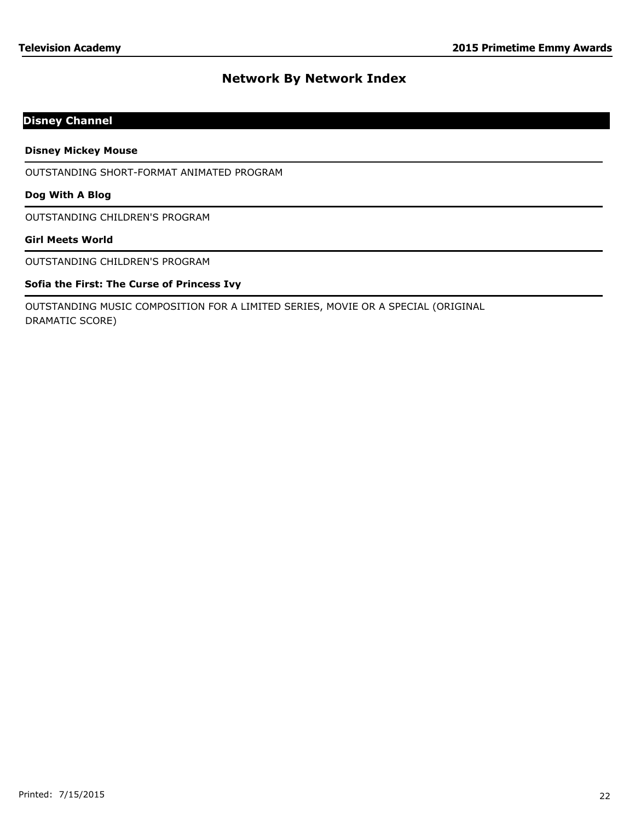# **Disney Channel**

**Disney Mickey Mouse**

OUTSTANDING SHORT-FORMAT ANIMATED PROGRAM

#### **Dog With A Blog**

OUTSTANDING CHILDREN'S PROGRAM

## **Girl Meets World**

OUTSTANDING CHILDREN'S PROGRAM

## **Sofia the First: The Curse of Princess Ivy**

OUTSTANDING MUSIC COMPOSITION FOR A LIMITED SERIES, MOVIE OR A SPECIAL (ORIGINAL DRAMATIC SCORE)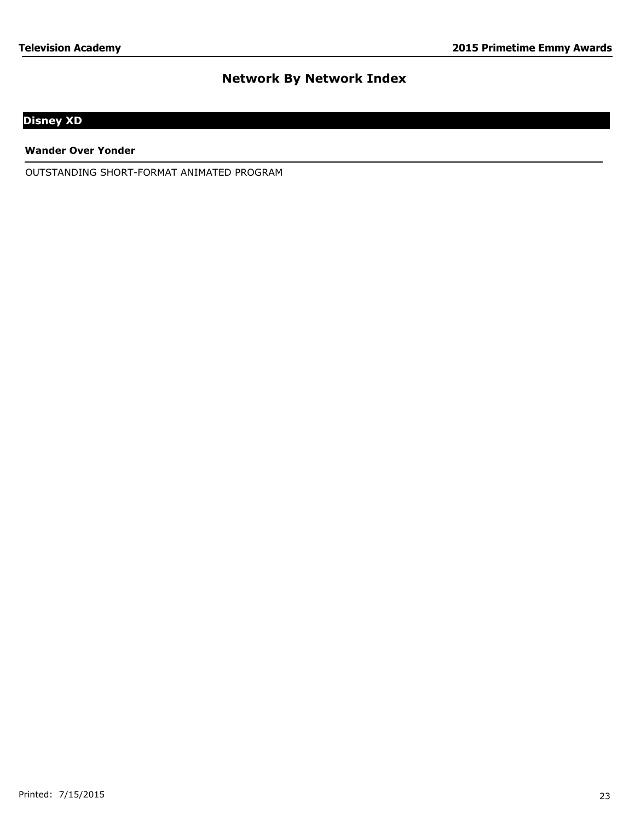# **Disney XD**

**Wander Over Yonder**

OUTSTANDING SHORT-FORMAT ANIMATED PROGRAM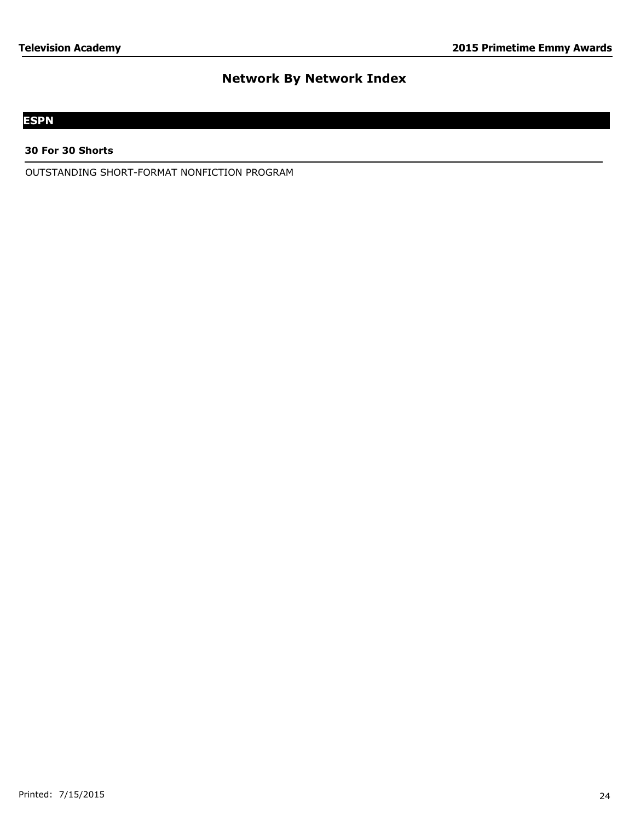# **ESPN**

#### **30 For 30 Shorts**

OUTSTANDING SHORT-FORMAT NONFICTION PROGRAM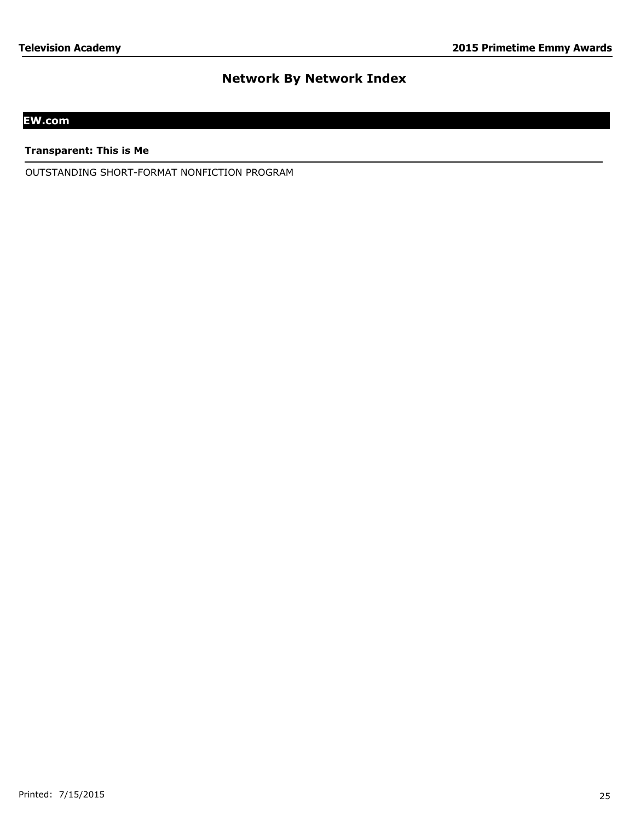# **EW.com**

**Transparent: This is Me**

OUTSTANDING SHORT-FORMAT NONFICTION PROGRAM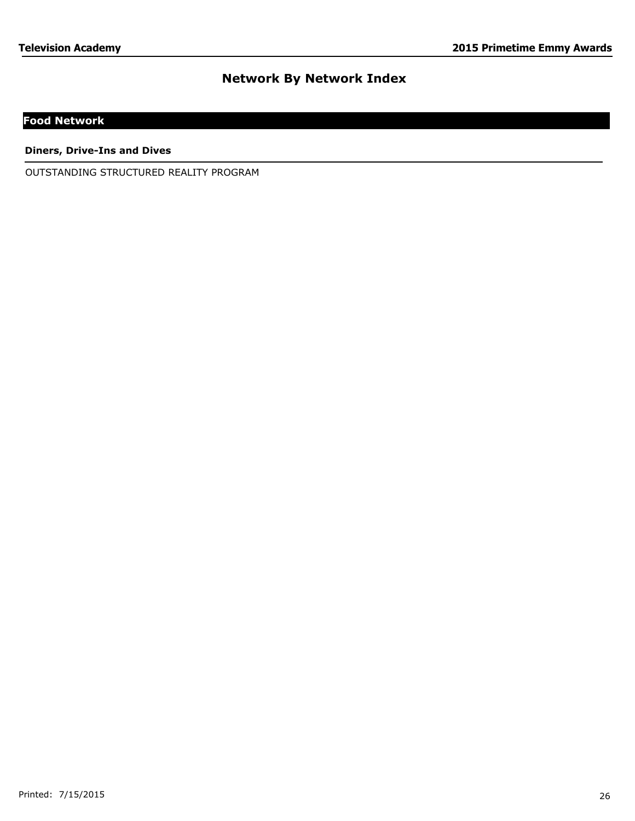# **Food Network**

**Diners, Drive-Ins and Dives**

OUTSTANDING STRUCTURED REALITY PROGRAM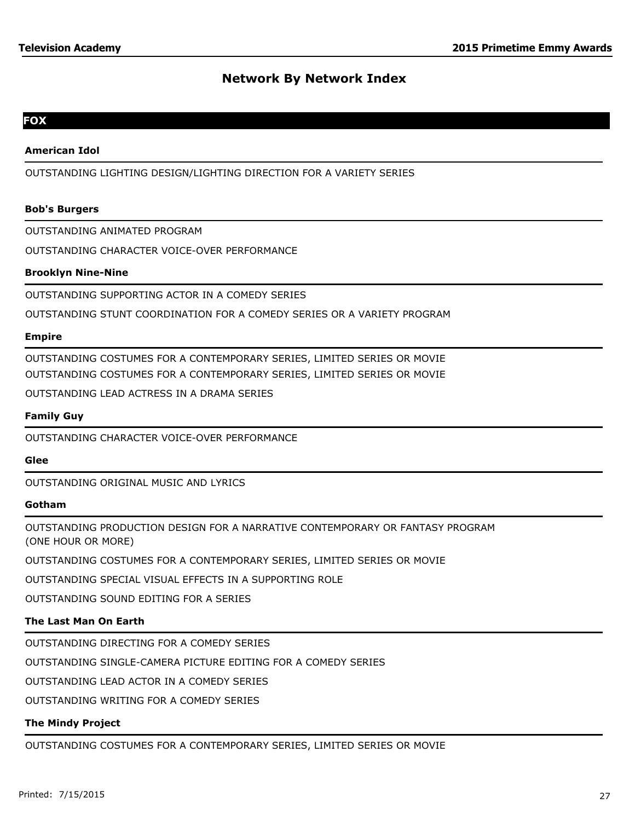## **FOX**

#### **American Idol**

OUTSTANDING LIGHTING DESIGN/LIGHTING DIRECTION FOR A VARIETY SERIES

#### **Bob's Burgers**

OUTSTANDING ANIMATED PROGRAM

OUTSTANDING CHARACTER VOICE-OVER PERFORMANCE

#### **Brooklyn Nine-Nine**

OUTSTANDING SUPPORTING ACTOR IN A COMEDY SERIES

OUTSTANDING STUNT COORDINATION FOR A COMEDY SERIES OR A VARIETY PROGRAM

#### **Empire**

OUTSTANDING COSTUMES FOR A CONTEMPORARY SERIES, LIMITED SERIES OR MOVIE OUTSTANDING COSTUMES FOR A CONTEMPORARY SERIES, LIMITED SERIES OR MOVIE

OUTSTANDING LEAD ACTRESS IN A DRAMA SERIES

#### **Family Guy**

OUTSTANDING CHARACTER VOICE-OVER PERFORMANCE

#### **Glee**

OUTSTANDING ORIGINAL MUSIC AND LYRICS

#### **Gotham**

OUTSTANDING PRODUCTION DESIGN FOR A NARRATIVE CONTEMPORARY OR FANTASY PROGRAM (ONE HOUR OR MORE)

OUTSTANDING COSTUMES FOR A CONTEMPORARY SERIES, LIMITED SERIES OR MOVIE

OUTSTANDING SPECIAL VISUAL EFFECTS IN A SUPPORTING ROLE

OUTSTANDING SOUND EDITING FOR A SERIES

## **The Last Man On Earth**

OUTSTANDING DIRECTING FOR A COMEDY SERIES

OUTSTANDING SINGLE-CAMERA PICTURE EDITING FOR A COMEDY SERIES

OUTSTANDING LEAD ACTOR IN A COMEDY SERIES

OUTSTANDING WRITING FOR A COMEDY SERIES

## **The Mindy Project**

OUTSTANDING COSTUMES FOR A CONTEMPORARY SERIES, LIMITED SERIES OR MOVIE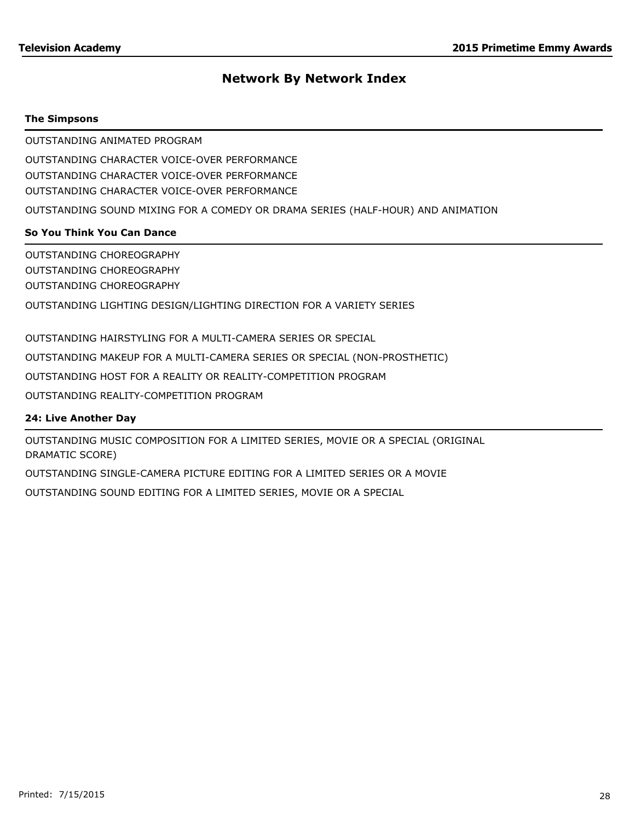## **The Simpsons**

OUTSTANDING ANIMATED PROGRAM

OUTSTANDING CHARACTER VOICE-OVER PERFORMANCE OUTSTANDING CHARACTER VOICE-OVER PERFORMANCE OUTSTANDING CHARACTER VOICE-OVER PERFORMANCE

OUTSTANDING SOUND MIXING FOR A COMEDY OR DRAMA SERIES (HALF-HOUR) AND ANIMATION

# **So You Think You Can Dance**

OUTSTANDING CHOREOGRAPHY OUTSTANDING CHOREOGRAPHY OUTSTANDING CHOREOGRAPHY OUTSTANDING LIGHTING DESIGN/LIGHTING DIRECTION FOR A VARIETY SERIES

OUTSTANDING HAIRSTYLING FOR A MULTI-CAMERA SERIES OR SPECIAL

OUTSTANDING MAKEUP FOR A MULTI-CAMERA SERIES OR SPECIAL (NON-PROSTHETIC)

OUTSTANDING HOST FOR A REALITY OR REALITY-COMPETITION PROGRAM

OUTSTANDING REALITY-COMPETITION PROGRAM

# **24: Live Another Day**

OUTSTANDING MUSIC COMPOSITION FOR A LIMITED SERIES, MOVIE OR A SPECIAL (ORIGINAL DRAMATIC SCORE)

OUTSTANDING SINGLE-CAMERA PICTURE EDITING FOR A LIMITED SERIES OR A MOVIE

OUTSTANDING SOUND EDITING FOR A LIMITED SERIES, MOVIE OR A SPECIAL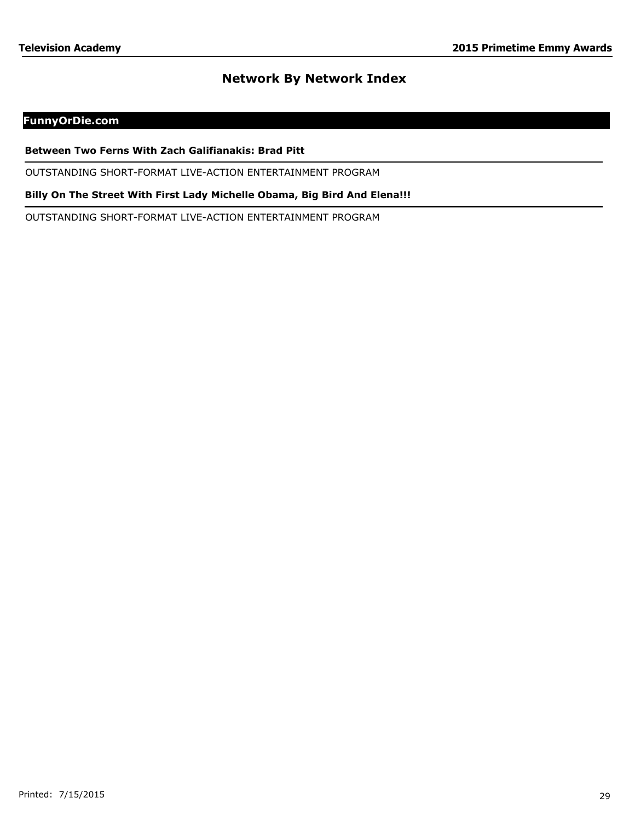# **FunnyOrDie.com**

#### **Between Two Ferns With Zach Galifianakis: Brad Pitt**

OUTSTANDING SHORT-FORMAT LIVE-ACTION ENTERTAINMENT PROGRAM

**Billy On The Street With First Lady Michelle Obama, Big Bird And Elena!!!**

OUTSTANDING SHORT-FORMAT LIVE-ACTION ENTERTAINMENT PROGRAM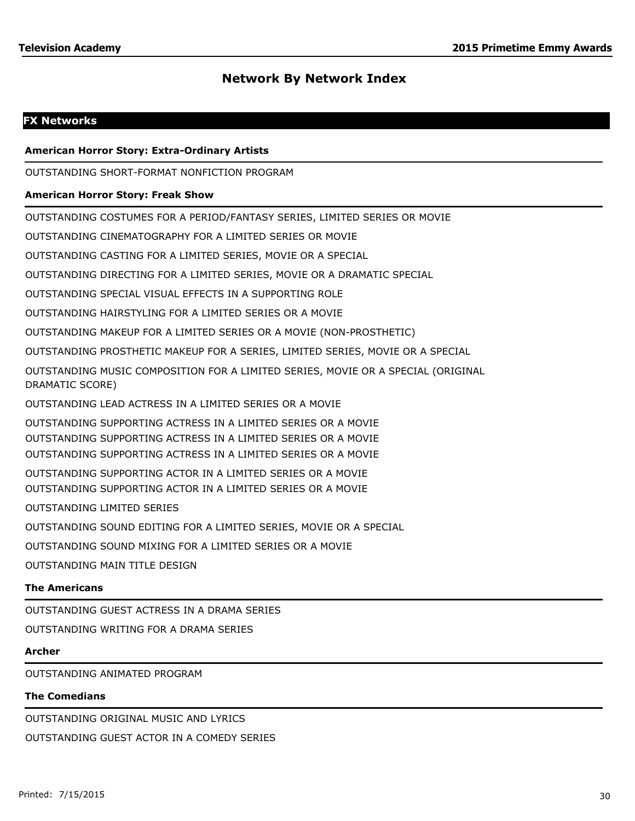# **FX Networks**

#### **American Horror Story: Extra-Ordinary Artists**

OUTSTANDING SHORT-FORMAT NONFICTION PROGRAM

#### **American Horror Story: Freak Show**

OUTSTANDING COSTUMES FOR A PERIOD/FANTASY SERIES, LIMITED SERIES OR MOVIE

OUTSTANDING CINEMATOGRAPHY FOR A LIMITED SERIES OR MOVIE

OUTSTANDING CASTING FOR A LIMITED SERIES, MOVIE OR A SPECIAL

OUTSTANDING DIRECTING FOR A LIMITED SERIES, MOVIE OR A DRAMATIC SPECIAL

OUTSTANDING SPECIAL VISUAL EFFECTS IN A SUPPORTING ROLE

OUTSTANDING HAIRSTYLING FOR A LIMITED SERIES OR A MOVIE

OUTSTANDING MAKEUP FOR A LIMITED SERIES OR A MOVIE (NON-PROSTHETIC)

OUTSTANDING PROSTHETIC MAKEUP FOR A SERIES, LIMITED SERIES, MOVIE OR A SPECIAL

OUTSTANDING MUSIC COMPOSITION FOR A LIMITED SERIES, MOVIE OR A SPECIAL (ORIGINAL DRAMATIC SCORE)

OUTSTANDING LEAD ACTRESS IN A LIMITED SERIES OR A MOVIE

OUTSTANDING SUPPORTING ACTRESS IN A LIMITED SERIES OR A MOVIE OUTSTANDING SUPPORTING ACTRESS IN A LIMITED SERIES OR A MOVIE OUTSTANDING SUPPORTING ACTRESS IN A LIMITED SERIES OR A MOVIE

OUTSTANDING SUPPORTING ACTOR IN A LIMITED SERIES OR A MOVIE OUTSTANDING SUPPORTING ACTOR IN A LIMITED SERIES OR A MOVIE

OUTSTANDING LIMITED SERIES

OUTSTANDING SOUND EDITING FOR A LIMITED SERIES, MOVIE OR A SPECIAL

OUTSTANDING SOUND MIXING FOR A LIMITED SERIES OR A MOVIE

OUTSTANDING MAIN TITLE DESIGN

## **The Americans**

OUTSTANDING GUEST ACTRESS IN A DRAMA SERIES

OUTSTANDING WRITING FOR A DRAMA SERIES

#### **Archer**

OUTSTANDING ANIMATED PROGRAM

#### **The Comedians**

OUTSTANDING ORIGINAL MUSIC AND LYRICS OUTSTANDING GUEST ACTOR IN A COMEDY SERIES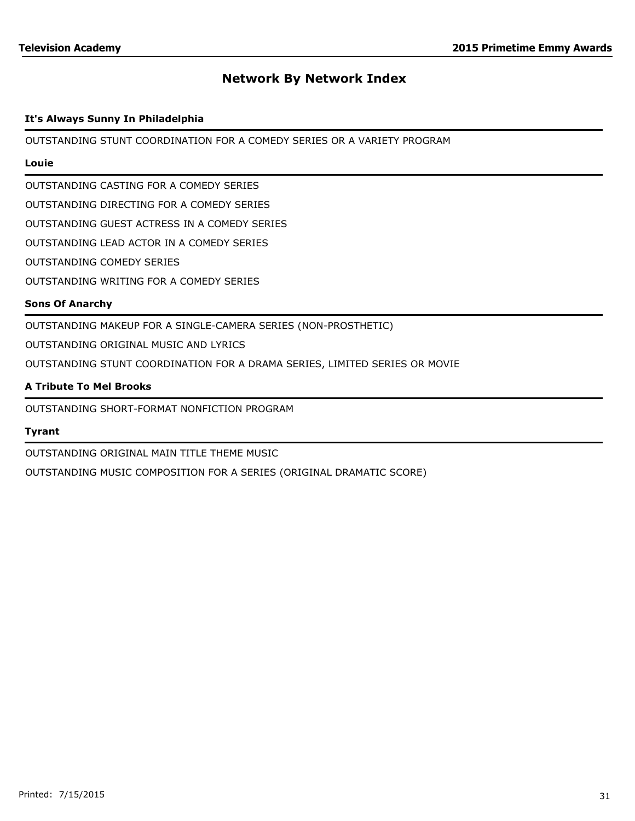## **It's Always Sunny In Philadelphia**

OUTSTANDING STUNT COORDINATION FOR A COMEDY SERIES OR A VARIETY PROGRAM

## **Louie**

OUTSTANDING CASTING FOR A COMEDY SERIES

OUTSTANDING DIRECTING FOR A COMEDY SERIES

OUTSTANDING GUEST ACTRESS IN A COMEDY SERIES

OUTSTANDING LEAD ACTOR IN A COMEDY SERIES

OUTSTANDING COMEDY SERIES

OUTSTANDING WRITING FOR A COMEDY SERIES

#### **Sons Of Anarchy**

OUTSTANDING MAKEUP FOR A SINGLE-CAMERA SERIES (NON-PROSTHETIC)

OUTSTANDING ORIGINAL MUSIC AND LYRICS

OUTSTANDING STUNT COORDINATION FOR A DRAMA SERIES, LIMITED SERIES OR MOVIE

#### **A Tribute To Mel Brooks**

OUTSTANDING SHORT-FORMAT NONFICTION PROGRAM

#### **Tyrant**

OUTSTANDING ORIGINAL MAIN TITLE THEME MUSIC

OUTSTANDING MUSIC COMPOSITION FOR A SERIES (ORIGINAL DRAMATIC SCORE)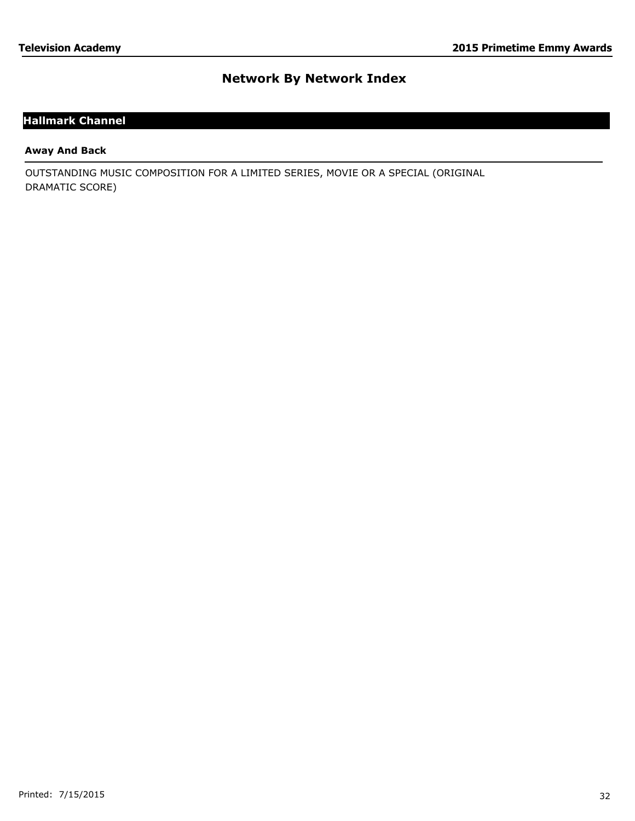# **Hallmark Channel**

### **Away And Back**

OUTSTANDING MUSIC COMPOSITION FOR A LIMITED SERIES, MOVIE OR A SPECIAL (ORIGINAL DRAMATIC SCORE)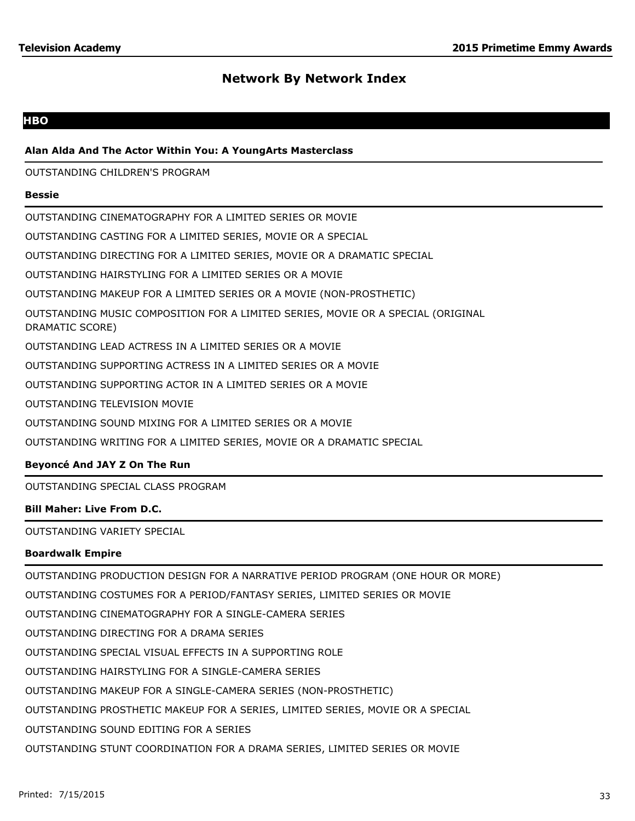## **HBO**

## **Alan Alda And The Actor Within You: A YoungArts Masterclass**

OUTSTANDING CHILDREN'S PROGRAM

#### **Bessie**

OUTSTANDING CINEMATOGRAPHY FOR A LIMITED SERIES OR MOVIE OUTSTANDING CASTING FOR A LIMITED SERIES, MOVIE OR A SPECIAL OUTSTANDING DIRECTING FOR A LIMITED SERIES, MOVIE OR A DRAMATIC SPECIAL OUTSTANDING HAIRSTYLING FOR A LIMITED SERIES OR A MOVIE OUTSTANDING MAKEUP FOR A LIMITED SERIES OR A MOVIE (NON-PROSTHETIC) OUTSTANDING MUSIC COMPOSITION FOR A LIMITED SERIES, MOVIE OR A SPECIAL (ORIGINAL DRAMATIC SCORE) OUTSTANDING LEAD ACTRESS IN A LIMITED SERIES OR A MOVIE OUTSTANDING SUPPORTING ACTRESS IN A LIMITED SERIES OR A MOVIE OUTSTANDING SUPPORTING ACTOR IN A LIMITED SERIES OR A MOVIE OUTSTANDING TELEVISION MOVIE OUTSTANDING SOUND MIXING FOR A LIMITED SERIES OR A MOVIE OUTSTANDING WRITING FOR A LIMITED SERIES, MOVIE OR A DRAMATIC SPECIAL

# **Beyoncé And JAY Z On The Run**

OUTSTANDING SPECIAL CLASS PROGRAM

## **Bill Maher: Live From D.C.**

OUTSTANDING VARIETY SPECIAL

## **Boardwalk Empire**

OUTSTANDING PRODUCTION DESIGN FOR A NARRATIVE PERIOD PROGRAM (ONE HOUR OR MORE) OUTSTANDING COSTUMES FOR A PERIOD/FANTASY SERIES, LIMITED SERIES OR MOVIE OUTSTANDING CINEMATOGRAPHY FOR A SINGLE-CAMERA SERIES OUTSTANDING DIRECTING FOR A DRAMA SERIES OUTSTANDING SPECIAL VISUAL EFFECTS IN A SUPPORTING ROLE OUTSTANDING HAIRSTYLING FOR A SINGLE-CAMERA SERIES OUTSTANDING MAKEUP FOR A SINGLE-CAMERA SERIES (NON-PROSTHETIC) OUTSTANDING PROSTHETIC MAKEUP FOR A SERIES, LIMITED SERIES, MOVIE OR A SPECIAL OUTSTANDING SOUND EDITING FOR A SERIES OUTSTANDING STUNT COORDINATION FOR A DRAMA SERIES, LIMITED SERIES OR MOVIE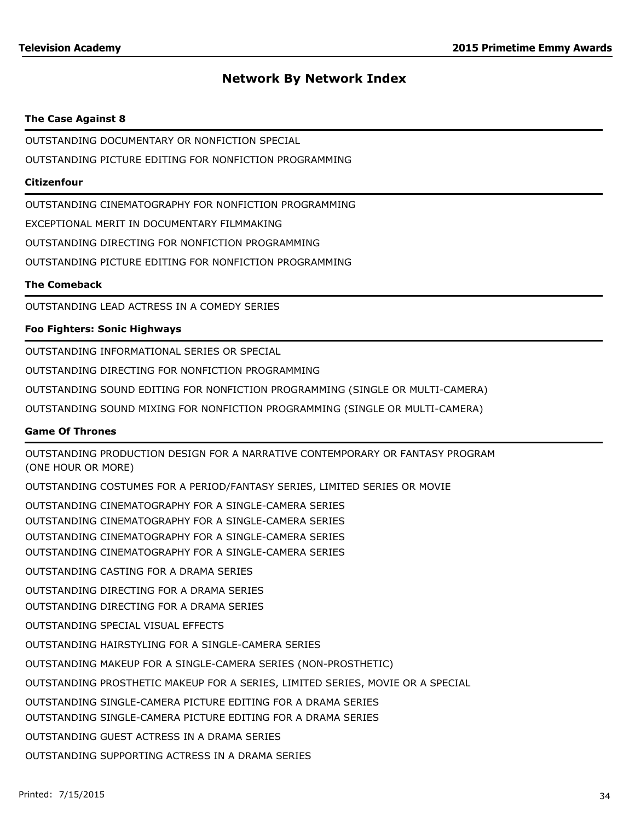## **The Case Against 8**

OUTSTANDING DOCUMENTARY OR NONFICTION SPECIAL

OUTSTANDING PICTURE EDITING FOR NONFICTION PROGRAMMING

## **Citizenfour**

OUTSTANDING CINEMATOGRAPHY FOR NONFICTION PROGRAMMING

EXCEPTIONAL MERIT IN DOCUMENTARY FILMMAKING

OUTSTANDING DIRECTING FOR NONFICTION PROGRAMMING

OUTSTANDING PICTURE EDITING FOR NONFICTION PROGRAMMING

## **The Comeback**

OUTSTANDING LEAD ACTRESS IN A COMEDY SERIES

# **Foo Fighters: Sonic Highways**

OUTSTANDING INFORMATIONAL SERIES OR SPECIAL

OUTSTANDING DIRECTING FOR NONFICTION PROGRAMMING

OUTSTANDING SOUND EDITING FOR NONFICTION PROGRAMMING (SINGLE OR MULTI-CAMERA)

OUTSTANDING SOUND MIXING FOR NONFICTION PROGRAMMING (SINGLE OR MULTI-CAMERA)

## **Game Of Thrones**

OUTSTANDING PRODUCTION DESIGN FOR A NARRATIVE CONTEMPORARY OR FANTASY PROGRAM (ONE HOUR OR MORE) OUTSTANDING COSTUMES FOR A PERIOD/FANTASY SERIES, LIMITED SERIES OR MOVIE OUTSTANDING CINEMATOGRAPHY FOR A SINGLE-CAMERA SERIES OUTSTANDING CINEMATOGRAPHY FOR A SINGLE-CAMERA SERIES OUTSTANDING CINEMATOGRAPHY FOR A SINGLE-CAMERA SERIES OUTSTANDING CINEMATOGRAPHY FOR A SINGLE-CAMERA SERIES OUTSTANDING CASTING FOR A DRAMA SERIES OUTSTANDING DIRECTING FOR A DRAMA SERIES OUTSTANDING DIRECTING FOR A DRAMA SERIES OUTSTANDING SPECIAL VISUAL EFFECTS OUTSTANDING HAIRSTYLING FOR A SINGLE-CAMERA SERIES OUTSTANDING MAKEUP FOR A SINGLE-CAMERA SERIES (NON-PROSTHETIC) OUTSTANDING PROSTHETIC MAKEUP FOR A SERIES, LIMITED SERIES, MOVIE OR A SPECIAL OUTSTANDING SINGLE-CAMERA PICTURE EDITING FOR A DRAMA SERIES OUTSTANDING SINGLE-CAMERA PICTURE EDITING FOR A DRAMA SERIES OUTSTANDING GUEST ACTRESS IN A DRAMA SERIES OUTSTANDING SUPPORTING ACTRESS IN A DRAMA SERIES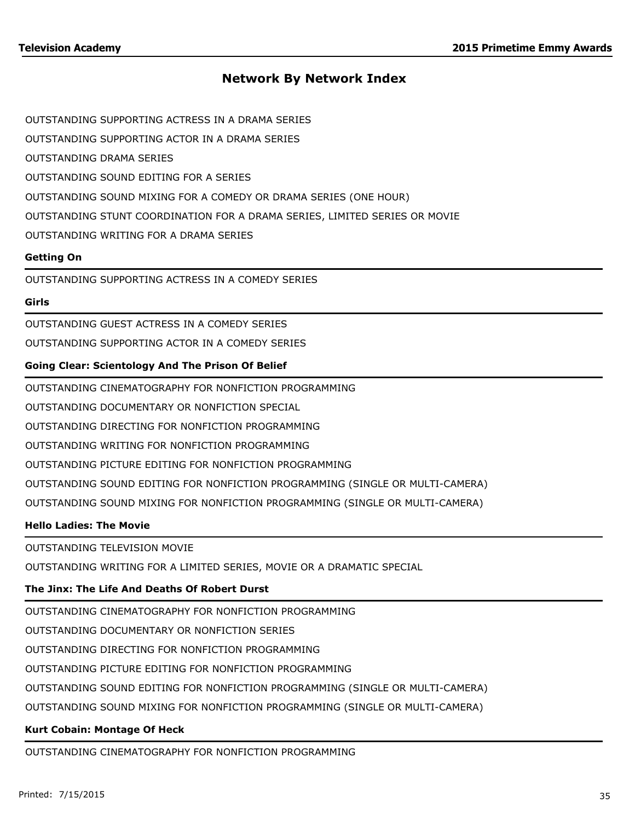OUTSTANDING SUPPORTING ACTRESS IN A DRAMA SERIES

OUTSTANDING SUPPORTING ACTOR IN A DRAMA SERIES

OUTSTANDING DRAMA SERIES

OUTSTANDING SOUND EDITING FOR A SERIES

OUTSTANDING SOUND MIXING FOR A COMEDY OR DRAMA SERIES (ONE HOUR)

OUTSTANDING STUNT COORDINATION FOR A DRAMA SERIES, LIMITED SERIES OR MOVIE

OUTSTANDING WRITING FOR A DRAMA SERIES

## **Getting On**

OUTSTANDING SUPPORTING ACTRESS IN A COMEDY SERIES

## **Girls**

OUTSTANDING GUEST ACTRESS IN A COMEDY SERIES

OUTSTANDING SUPPORTING ACTOR IN A COMEDY SERIES

## **Going Clear: Scientology And The Prison Of Belief**

OUTSTANDING CINEMATOGRAPHY FOR NONFICTION PROGRAMMING

OUTSTANDING DOCUMENTARY OR NONFICTION SPECIAL

OUTSTANDING DIRECTING FOR NONFICTION PROGRAMMING

OUTSTANDING WRITING FOR NONFICTION PROGRAMMING

OUTSTANDING PICTURE EDITING FOR NONFICTION PROGRAMMING

OUTSTANDING SOUND EDITING FOR NONFICTION PROGRAMMING (SINGLE OR MULTI-CAMERA)

OUTSTANDING SOUND MIXING FOR NONFICTION PROGRAMMING (SINGLE OR MULTI-CAMERA)

## **Hello Ladies: The Movie**

OUTSTANDING TELEVISION MOVIE

OUTSTANDING WRITING FOR A LIMITED SERIES, MOVIE OR A DRAMATIC SPECIAL

# **The Jinx: The Life And Deaths Of Robert Durst**

OUTSTANDING CINEMATOGRAPHY FOR NONFICTION PROGRAMMING

OUTSTANDING DOCUMENTARY OR NONFICTION SERIES

OUTSTANDING DIRECTING FOR NONFICTION PROGRAMMING

OUTSTANDING PICTURE EDITING FOR NONFICTION PROGRAMMING

OUTSTANDING SOUND EDITING FOR NONFICTION PROGRAMMING (SINGLE OR MULTI-CAMERA)

OUTSTANDING SOUND MIXING FOR NONFICTION PROGRAMMING (SINGLE OR MULTI-CAMERA)

# **Kurt Cobain: Montage Of Heck**

OUTSTANDING CINEMATOGRAPHY FOR NONFICTION PROGRAMMING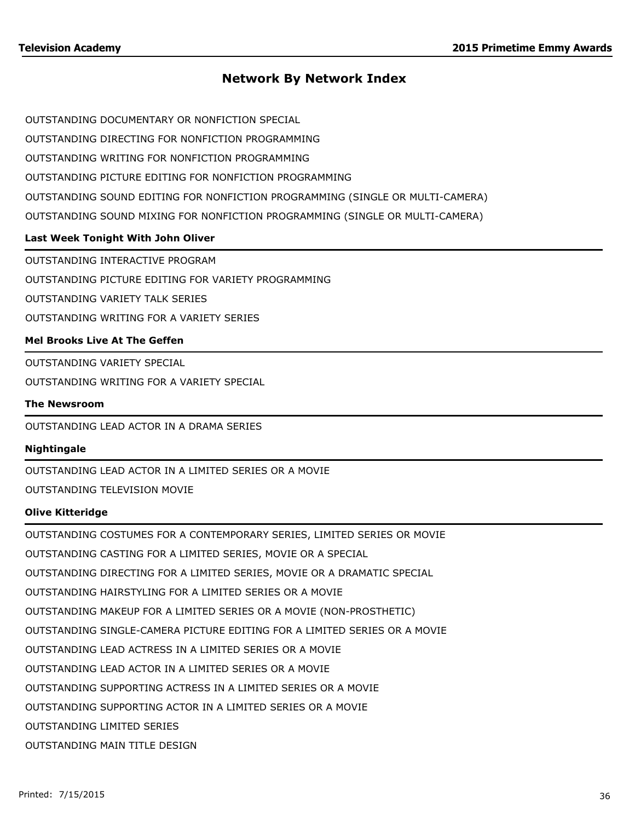OUTSTANDING DOCUMENTARY OR NONFICTION SPECIAL

OUTSTANDING DIRECTING FOR NONFICTION PROGRAMMING

OUTSTANDING WRITING FOR NONFICTION PROGRAMMING

OUTSTANDING PICTURE EDITING FOR NONFICTION PROGRAMMING

OUTSTANDING SOUND EDITING FOR NONFICTION PROGRAMMING (SINGLE OR MULTI-CAMERA)

OUTSTANDING SOUND MIXING FOR NONFICTION PROGRAMMING (SINGLE OR MULTI-CAMERA)

## **Last Week Tonight With John Oliver**

OUTSTANDING INTERACTIVE PROGRAM

OUTSTANDING PICTURE EDITING FOR VARIETY PROGRAMMING

OUTSTANDING VARIETY TALK SERIES

OUTSTANDING WRITING FOR A VARIETY SERIES

## **Mel Brooks Live At The Geffen**

OUTSTANDING VARIETY SPECIAL

OUTSTANDING WRITING FOR A VARIETY SPECIAL

#### **The Newsroom**

OUTSTANDING LEAD ACTOR IN A DRAMA SERIES

#### **Nightingale**

OUTSTANDING LEAD ACTOR IN A LIMITED SERIES OR A MOVIE

OUTSTANDING TELEVISION MOVIE

## **Olive Kitteridge**

OUTSTANDING COSTUMES FOR A CONTEMPORARY SERIES, LIMITED SERIES OR MOVIE

OUTSTANDING CASTING FOR A LIMITED SERIES, MOVIE OR A SPECIAL

OUTSTANDING DIRECTING FOR A LIMITED SERIES, MOVIE OR A DRAMATIC SPECIAL

OUTSTANDING HAIRSTYLING FOR A LIMITED SERIES OR A MOVIE

OUTSTANDING MAKEUP FOR A LIMITED SERIES OR A MOVIE (NON-PROSTHETIC)

OUTSTANDING SINGLE-CAMERA PICTURE EDITING FOR A LIMITED SERIES OR A MOVIE

OUTSTANDING LEAD ACTRESS IN A LIMITED SERIES OR A MOVIE

OUTSTANDING LEAD ACTOR IN A LIMITED SERIES OR A MOVIE

OUTSTANDING SUPPORTING ACTRESS IN A LIMITED SERIES OR A MOVIE

OUTSTANDING SUPPORTING ACTOR IN A LIMITED SERIES OR A MOVIE

OUTSTANDING LIMITED SERIES

OUTSTANDING MAIN TITLE DESIGN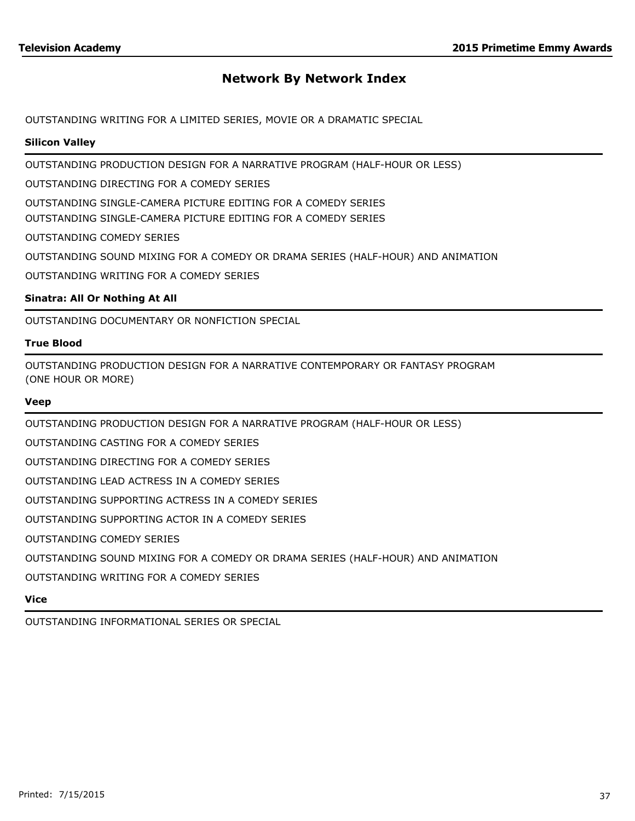OUTSTANDING WRITING FOR A LIMITED SERIES, MOVIE OR A DRAMATIC SPECIAL

### **Silicon Valley**

OUTSTANDING PRODUCTION DESIGN FOR A NARRATIVE PROGRAM (HALF-HOUR OR LESS)

OUTSTANDING DIRECTING FOR A COMEDY SERIES

OUTSTANDING SINGLE-CAMERA PICTURE EDITING FOR A COMEDY SERIES

OUTSTANDING SINGLE-CAMERA PICTURE EDITING FOR A COMEDY SERIES

OUTSTANDING COMEDY SERIES

OUTSTANDING SOUND MIXING FOR A COMEDY OR DRAMA SERIES (HALF-HOUR) AND ANIMATION

OUTSTANDING WRITING FOR A COMEDY SERIES

## **Sinatra: All Or Nothing At All**

OUTSTANDING DOCUMENTARY OR NONFICTION SPECIAL

#### **True Blood**

OUTSTANDING PRODUCTION DESIGN FOR A NARRATIVE CONTEMPORARY OR FANTASY PROGRAM (ONE HOUR OR MORE)

#### **Veep**

OUTSTANDING PRODUCTION DESIGN FOR A NARRATIVE PROGRAM (HALF-HOUR OR LESS)

OUTSTANDING CASTING FOR A COMEDY SERIES

OUTSTANDING DIRECTING FOR A COMEDY SERIES

OUTSTANDING LEAD ACTRESS IN A COMEDY SERIES

OUTSTANDING SUPPORTING ACTRESS IN A COMEDY SERIES

OUTSTANDING SUPPORTING ACTOR IN A COMEDY SERIES

OUTSTANDING COMEDY SERIES

OUTSTANDING SOUND MIXING FOR A COMEDY OR DRAMA SERIES (HALF-HOUR) AND ANIMATION

OUTSTANDING WRITING FOR A COMEDY SERIES

### **Vice**

OUTSTANDING INFORMATIONAL SERIES OR SPECIAL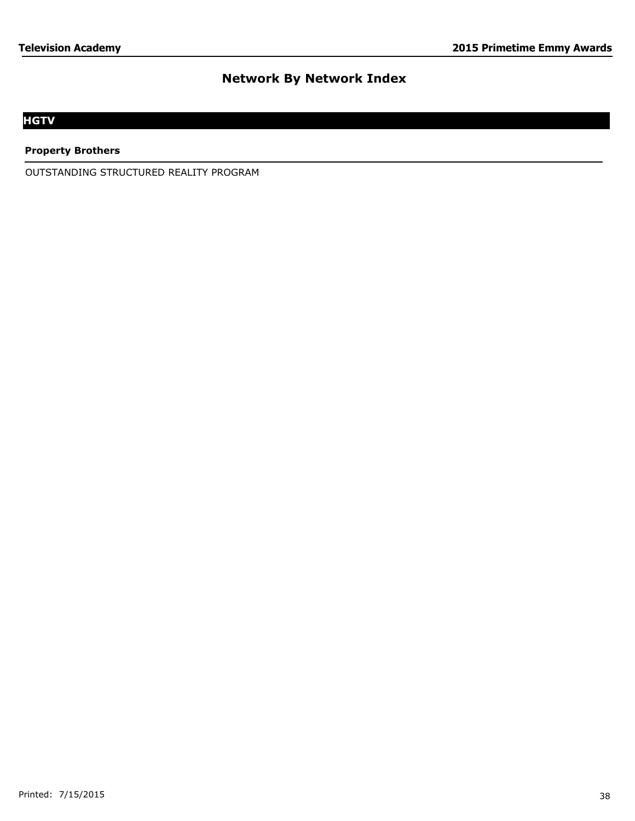# **HGTV**

**Property Brothers**

OUTSTANDING STRUCTURED REALITY PROGRAM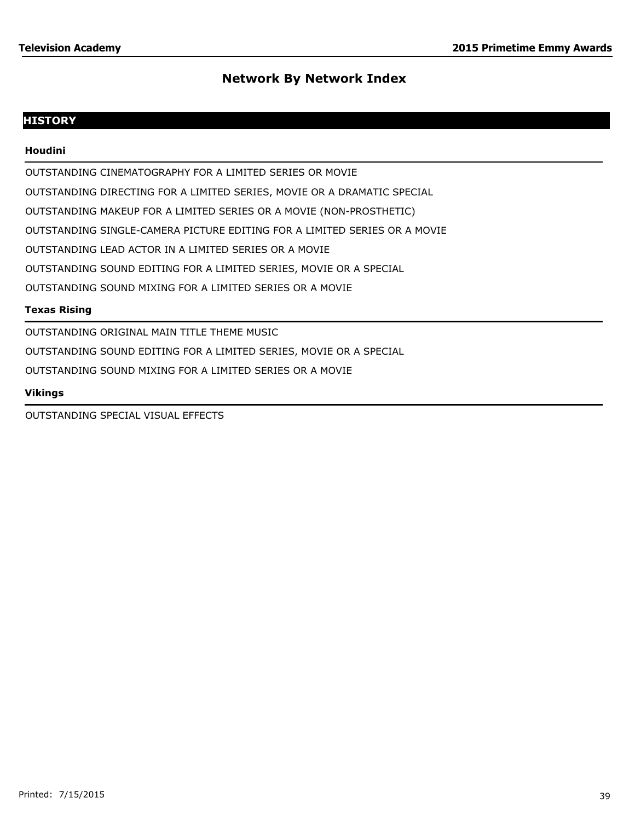# **HISTORY**

## **Houdini**

OUTSTANDING CINEMATOGRAPHY FOR A LIMITED SERIES OR MOVIE

OUTSTANDING DIRECTING FOR A LIMITED SERIES, MOVIE OR A DRAMATIC SPECIAL

OUTSTANDING MAKEUP FOR A LIMITED SERIES OR A MOVIE (NON-PROSTHETIC)

OUTSTANDING SINGLE-CAMERA PICTURE EDITING FOR A LIMITED SERIES OR A MOVIE

OUTSTANDING LEAD ACTOR IN A LIMITED SERIES OR A MOVIE

OUTSTANDING SOUND EDITING FOR A LIMITED SERIES, MOVIE OR A SPECIAL

OUTSTANDING SOUND MIXING FOR A LIMITED SERIES OR A MOVIE

## **Texas Rising**

OUTSTANDING ORIGINAL MAIN TITLE THEME MUSIC OUTSTANDING SOUND EDITING FOR A LIMITED SERIES, MOVIE OR A SPECIAL OUTSTANDING SOUND MIXING FOR A LIMITED SERIES OR A MOVIE

## **Vikings**

OUTSTANDING SPECIAL VISUAL EFFECTS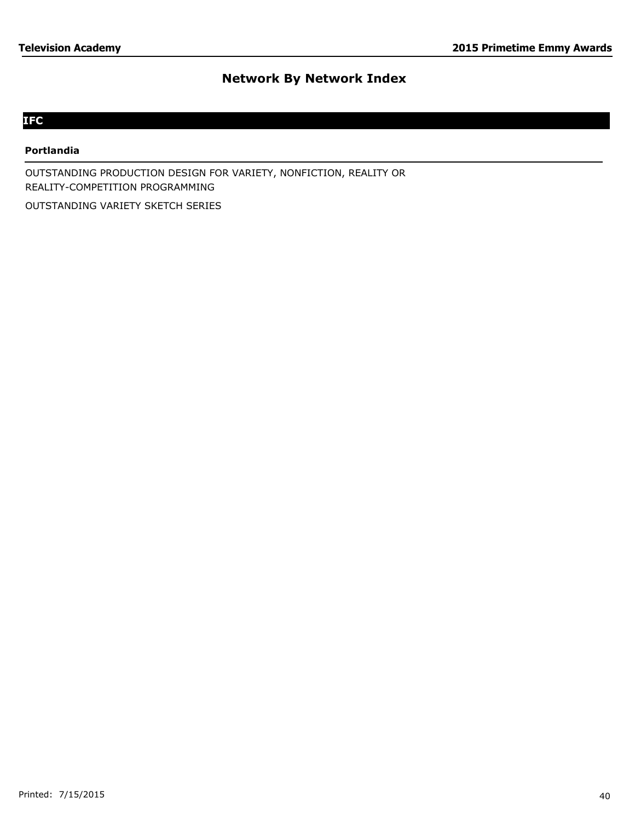# **IFC**

#### **Portlandia**

OUTSTANDING PRODUCTION DESIGN FOR VARIETY, NONFICTION, REALITY OR REALITY-COMPETITION PROGRAMMING

OUTSTANDING VARIETY SKETCH SERIES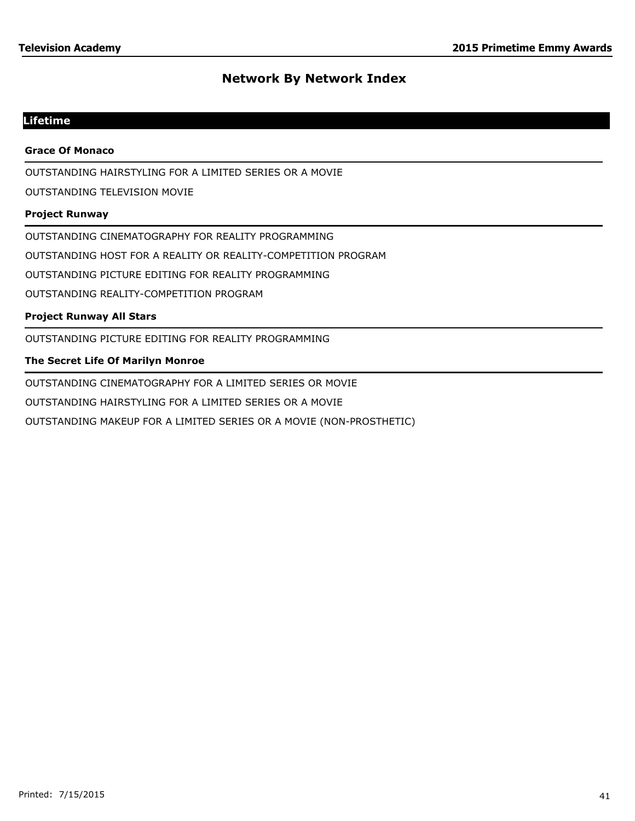# **Lifetime**

### **Grace Of Monaco**

OUTSTANDING HAIRSTYLING FOR A LIMITED SERIES OR A MOVIE

OUTSTANDING TELEVISION MOVIE

#### **Project Runway**

OUTSTANDING CINEMATOGRAPHY FOR REALITY PROGRAMMING

OUTSTANDING HOST FOR A REALITY OR REALITY-COMPETITION PROGRAM

OUTSTANDING PICTURE EDITING FOR REALITY PROGRAMMING

OUTSTANDING REALITY-COMPETITION PROGRAM

## **Project Runway All Stars**

OUTSTANDING PICTURE EDITING FOR REALITY PROGRAMMING

## **The Secret Life Of Marilyn Monroe**

OUTSTANDING CINEMATOGRAPHY FOR A LIMITED SERIES OR MOVIE

OUTSTANDING HAIRSTYLING FOR A LIMITED SERIES OR A MOVIE

OUTSTANDING MAKEUP FOR A LIMITED SERIES OR A MOVIE (NON-PROSTHETIC)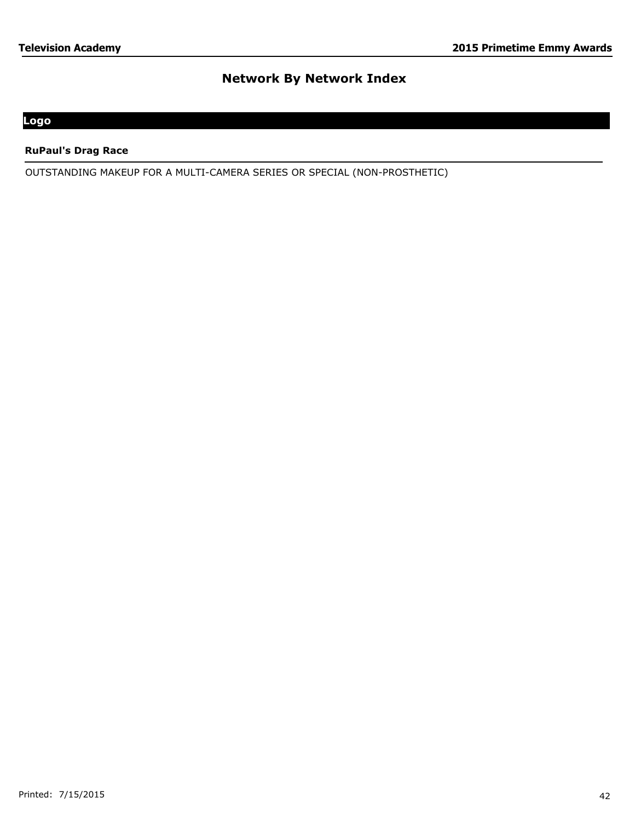# **Logo**

## **RuPaul's Drag Race**

OUTSTANDING MAKEUP FOR A MULTI-CAMERA SERIES OR SPECIAL (NON-PROSTHETIC)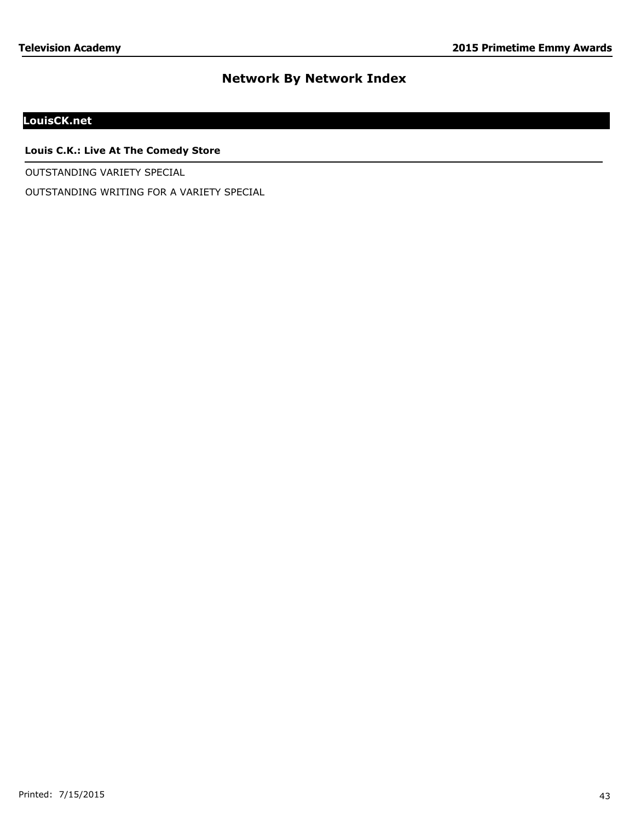# **LouisCK.net**

## **Louis C.K.: Live At The Comedy Store**

OUTSTANDING VARIETY SPECIAL

OUTSTANDING WRITING FOR A VARIETY SPECIAL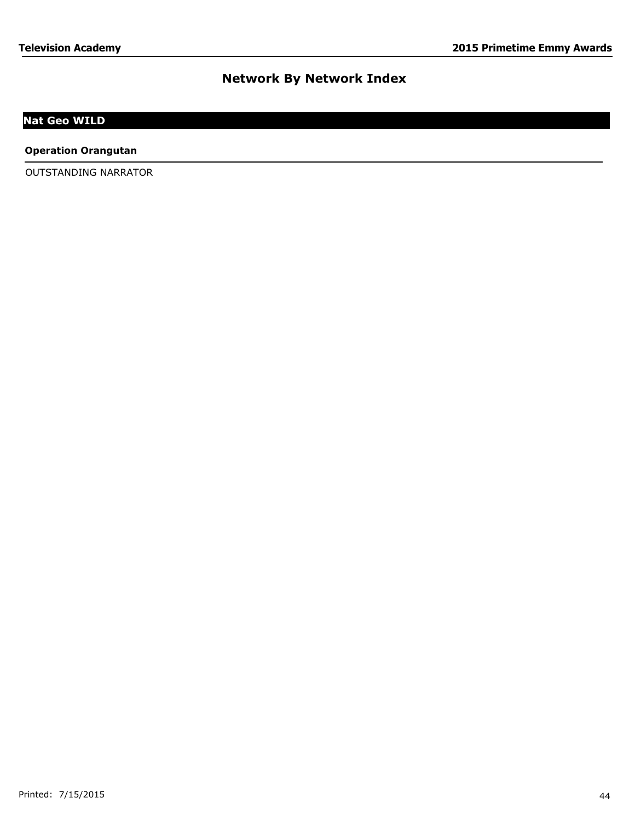# **Nat Geo WILD**

#### **Operation Orangutan**

OUTSTANDING NARRATOR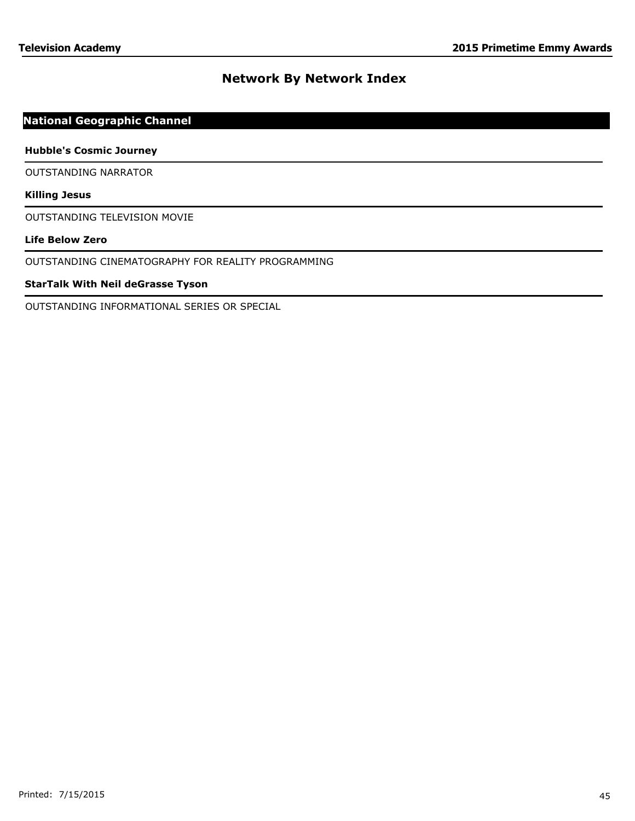# **National Geographic Channel**

#### **Hubble's Cosmic Journey**

OUTSTANDING NARRATOR

#### **Killing Jesus**

OUTSTANDING TELEVISION MOVIE

## **Life Below Zero**

OUTSTANDING CINEMATOGRAPHY FOR REALITY PROGRAMMING

## **StarTalk With Neil deGrasse Tyson**

OUTSTANDING INFORMATIONAL SERIES OR SPECIAL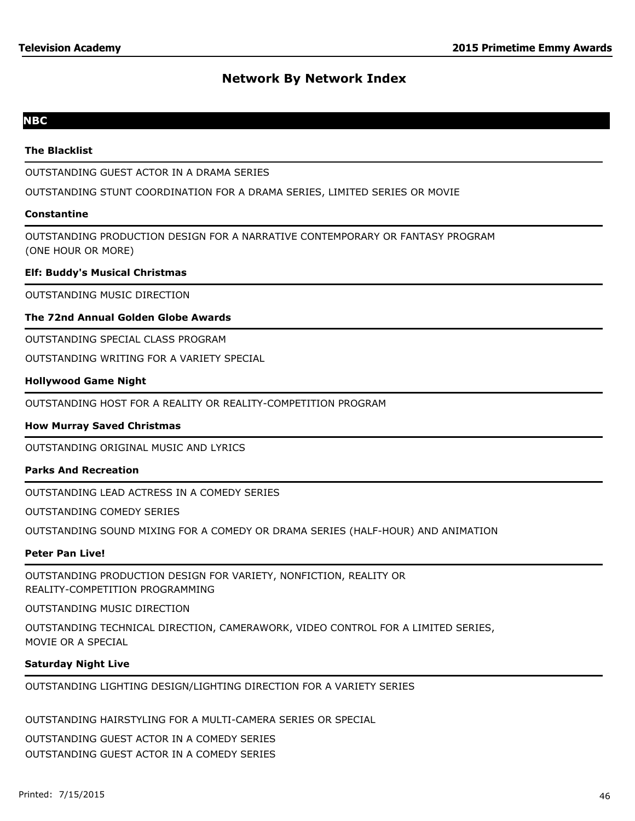# **NBC**

### **The Blacklist**

OUTSTANDING GUEST ACTOR IN A DRAMA SERIES

OUTSTANDING STUNT COORDINATION FOR A DRAMA SERIES, LIMITED SERIES OR MOVIE

#### **Constantine**

OUTSTANDING PRODUCTION DESIGN FOR A NARRATIVE CONTEMPORARY OR FANTASY PROGRAM (ONE HOUR OR MORE)

#### **Elf: Buddy's Musical Christmas**

OUTSTANDING MUSIC DIRECTION

#### **The 72nd Annual Golden Globe Awards**

OUTSTANDING SPECIAL CLASS PROGRAM

OUTSTANDING WRITING FOR A VARIETY SPECIAL

## **Hollywood Game Night**

OUTSTANDING HOST FOR A REALITY OR REALITY-COMPETITION PROGRAM

## **How Murray Saved Christmas**

OUTSTANDING ORIGINAL MUSIC AND LYRICS

## **Parks And Recreation**

OUTSTANDING LEAD ACTRESS IN A COMEDY SERIES

OUTSTANDING COMEDY SERIES

OUTSTANDING SOUND MIXING FOR A COMEDY OR DRAMA SERIES (HALF-HOUR) AND ANIMATION

#### **Peter Pan Live!**

OUTSTANDING PRODUCTION DESIGN FOR VARIETY, NONFICTION, REALITY OR REALITY-COMPETITION PROGRAMMING

OUTSTANDING MUSIC DIRECTION

OUTSTANDING TECHNICAL DIRECTION, CAMERAWORK, VIDEO CONTROL FOR A LIMITED SERIES, MOVIE OR A SPECIAL

#### **Saturday Night Live**

# OUTSTANDING LIGHTING DESIGN/LIGHTING DIRECTION FOR A VARIETY SERIES

OUTSTANDING HAIRSTYLING FOR A MULTI-CAMERA SERIES OR SPECIAL

OUTSTANDING GUEST ACTOR IN A COMEDY SERIES OUTSTANDING GUEST ACTOR IN A COMEDY SERIES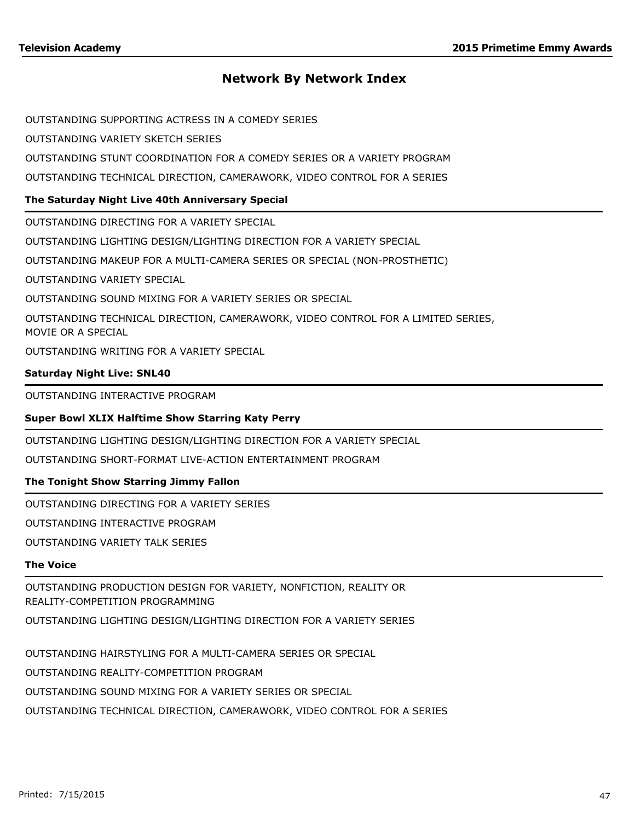OUTSTANDING SUPPORTING ACTRESS IN A COMEDY SERIES

OUTSTANDING VARIETY SKETCH SERIES

OUTSTANDING STUNT COORDINATION FOR A COMEDY SERIES OR A VARIETY PROGRAM

OUTSTANDING TECHNICAL DIRECTION, CAMERAWORK, VIDEO CONTROL FOR A SERIES

## **The Saturday Night Live 40th Anniversary Special**

OUTSTANDING DIRECTING FOR A VARIETY SPECIAL

OUTSTANDING LIGHTING DESIGN/LIGHTING DIRECTION FOR A VARIETY SPECIAL

OUTSTANDING MAKEUP FOR A MULTI-CAMERA SERIES OR SPECIAL (NON-PROSTHETIC)

OUTSTANDING VARIETY SPECIAL

OUTSTANDING SOUND MIXING FOR A VARIETY SERIES OR SPECIAL

OUTSTANDING TECHNICAL DIRECTION, CAMERAWORK, VIDEO CONTROL FOR A LIMITED SERIES, MOVIE OR A SPECIAL

OUTSTANDING WRITING FOR A VARIETY SPECIAL

#### **Saturday Night Live: SNL40**

OUTSTANDING INTERACTIVE PROGRAM

## **Super Bowl XLIX Halftime Show Starring Katy Perry**

OUTSTANDING LIGHTING DESIGN/LIGHTING DIRECTION FOR A VARIETY SPECIAL

OUTSTANDING SHORT-FORMAT LIVE-ACTION ENTERTAINMENT PROGRAM

## **The Tonight Show Starring Jimmy Fallon**

OUTSTANDING DIRECTING FOR A VARIETY SERIES

OUTSTANDING INTERACTIVE PROGRAM

OUTSTANDING VARIETY TALK SERIES

## **The Voice**

OUTSTANDING PRODUCTION DESIGN FOR VARIETY, NONFICTION, REALITY OR REALITY-COMPETITION PROGRAMMING

OUTSTANDING LIGHTING DESIGN/LIGHTING DIRECTION FOR A VARIETY SERIES

OUTSTANDING HAIRSTYLING FOR A MULTI-CAMERA SERIES OR SPECIAL

OUTSTANDING REALITY-COMPETITION PROGRAM

OUTSTANDING SOUND MIXING FOR A VARIETY SERIES OR SPECIAL

OUTSTANDING TECHNICAL DIRECTION, CAMERAWORK, VIDEO CONTROL FOR A SERIES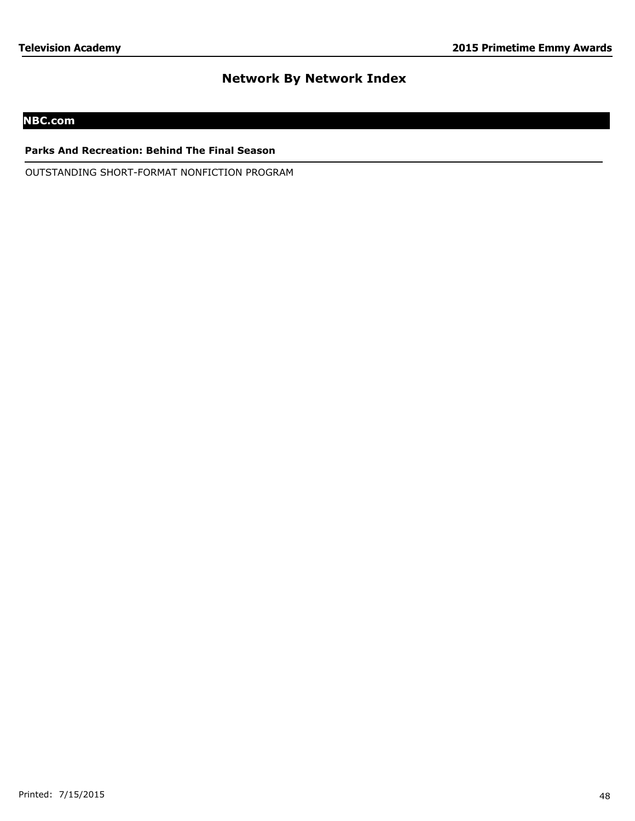# **NBC.com**

### **Parks And Recreation: Behind The Final Season**

OUTSTANDING SHORT-FORMAT NONFICTION PROGRAM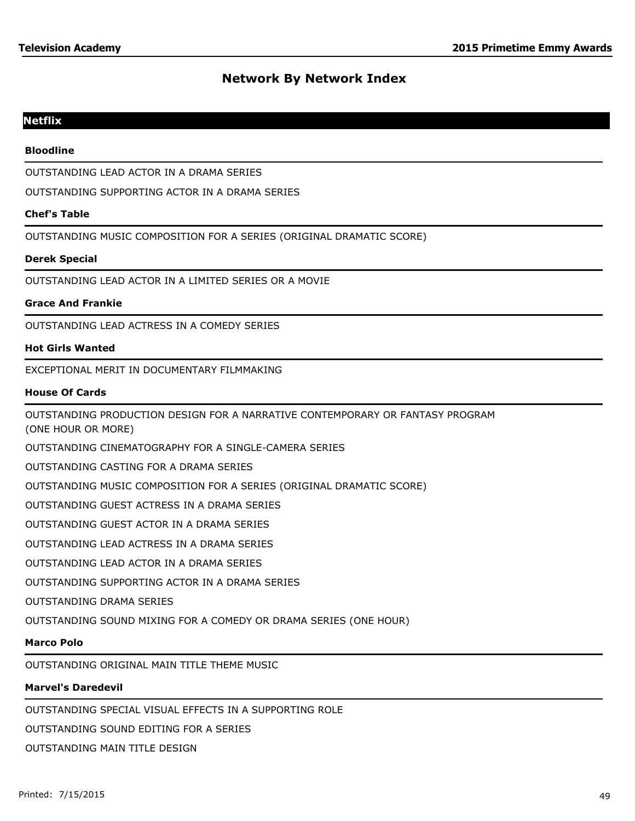## **Netflix**

#### **Bloodline**

OUTSTANDING LEAD ACTOR IN A DRAMA SERIES

OUTSTANDING SUPPORTING ACTOR IN A DRAMA SERIES

#### **Chef's Table**

OUTSTANDING MUSIC COMPOSITION FOR A SERIES (ORIGINAL DRAMATIC SCORE)

#### **Derek Special**

OUTSTANDING LEAD ACTOR IN A LIMITED SERIES OR A MOVIE

#### **Grace And Frankie**

OUTSTANDING LEAD ACTRESS IN A COMEDY SERIES

#### **Hot Girls Wanted**

EXCEPTIONAL MERIT IN DOCUMENTARY FILMMAKING

#### **House Of Cards**

OUTSTANDING PRODUCTION DESIGN FOR A NARRATIVE CONTEMPORARY OR FANTASY PROGRAM

(ONE HOUR OR MORE)

OUTSTANDING CINEMATOGRAPHY FOR A SINGLE-CAMERA SERIES

OUTSTANDING CASTING FOR A DRAMA SERIES

OUTSTANDING MUSIC COMPOSITION FOR A SERIES (ORIGINAL DRAMATIC SCORE)

OUTSTANDING GUEST ACTRESS IN A DRAMA SERIES

OUTSTANDING GUEST ACTOR IN A DRAMA SERIES

OUTSTANDING LEAD ACTRESS IN A DRAMA SERIES

OUTSTANDING LEAD ACTOR IN A DRAMA SERIES

OUTSTANDING SUPPORTING ACTOR IN A DRAMA SERIES

OUTSTANDING DRAMA SERIES

OUTSTANDING SOUND MIXING FOR A COMEDY OR DRAMA SERIES (ONE HOUR)

# **Marco Polo**

OUTSTANDING ORIGINAL MAIN TITLE THEME MUSIC

# **Marvel's Daredevil**

OUTSTANDING SPECIAL VISUAL EFFECTS IN A SUPPORTING ROLE

OUTSTANDING SOUND EDITING FOR A SERIES

OUTSTANDING MAIN TITLE DESIGN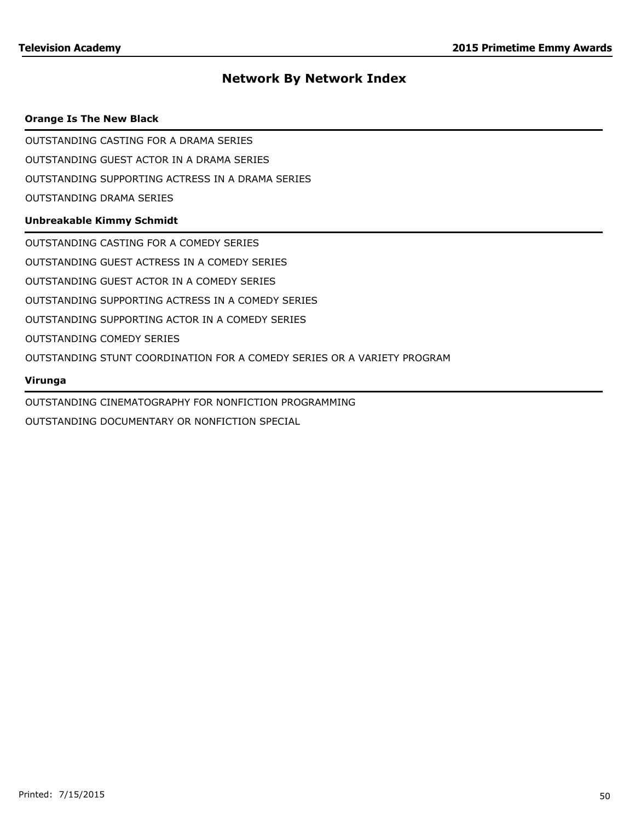### **Orange Is The New Black**

OUTSTANDING CASTING FOR A DRAMA SERIES

OUTSTANDING GUEST ACTOR IN A DRAMA SERIES

OUTSTANDING SUPPORTING ACTRESS IN A DRAMA SERIES

OUTSTANDING DRAMA SERIES

## **Unbreakable Kimmy Schmidt**

OUTSTANDING CASTING FOR A COMEDY SERIES

OUTSTANDING GUEST ACTRESS IN A COMEDY SERIES

OUTSTANDING GUEST ACTOR IN A COMEDY SERIES

OUTSTANDING SUPPORTING ACTRESS IN A COMEDY SERIES

OUTSTANDING SUPPORTING ACTOR IN A COMEDY SERIES

OUTSTANDING COMEDY SERIES

OUTSTANDING STUNT COORDINATION FOR A COMEDY SERIES OR A VARIETY PROGRAM

#### **Virunga**

OUTSTANDING CINEMATOGRAPHY FOR NONFICTION PROGRAMMING

OUTSTANDING DOCUMENTARY OR NONFICTION SPECIAL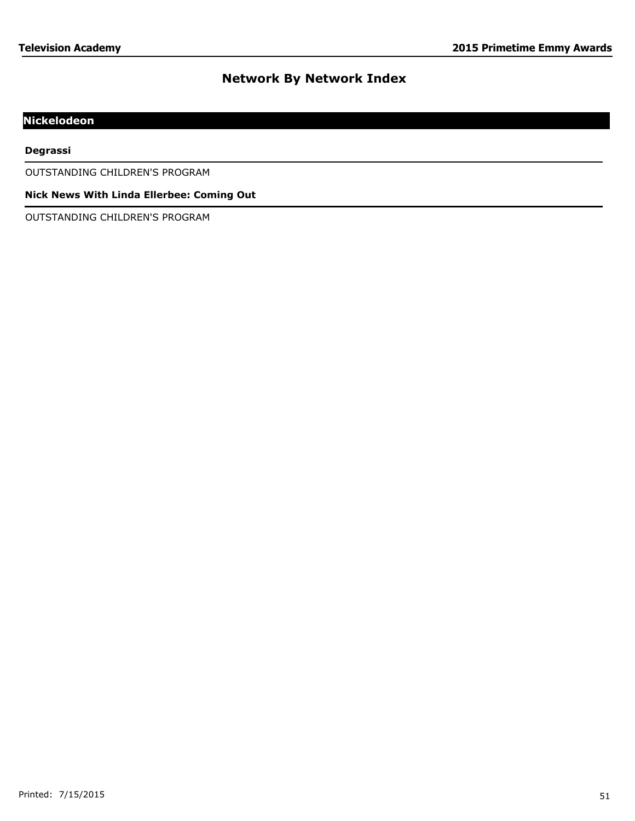# **Nickelodeon**

#### **Degrassi**

OUTSTANDING CHILDREN'S PROGRAM

## **Nick News With Linda Ellerbee: Coming Out**

OUTSTANDING CHILDREN'S PROGRAM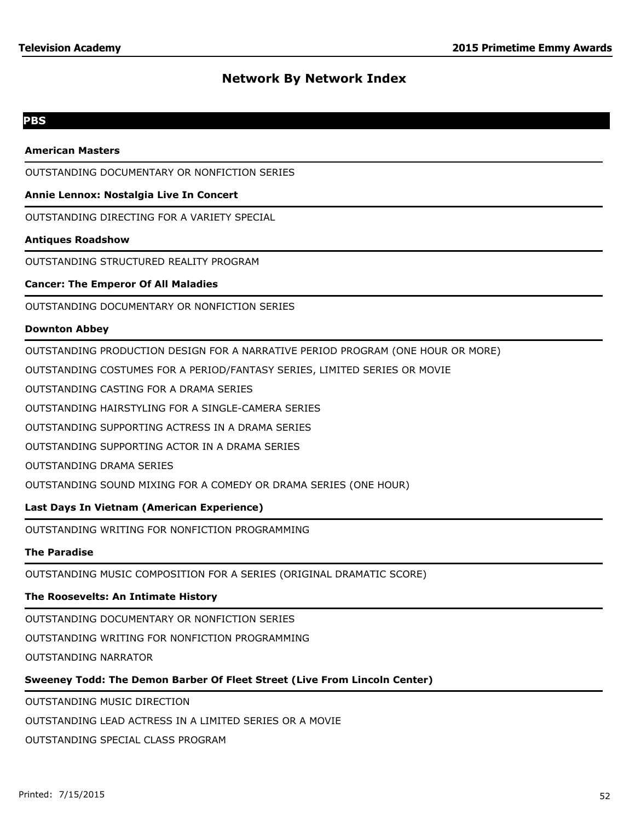## **PBS**

#### **American Masters**

OUTSTANDING DOCUMENTARY OR NONFICTION SERIES

### **Annie Lennox: Nostalgia Live In Concert**

OUTSTANDING DIRECTING FOR A VARIETY SPECIAL

#### **Antiques Roadshow**

OUTSTANDING STRUCTURED REALITY PROGRAM

#### **Cancer: The Emperor Of All Maladies**

OUTSTANDING DOCUMENTARY OR NONFICTION SERIES

#### **Downton Abbey**

OUTSTANDING PRODUCTION DESIGN FOR A NARRATIVE PERIOD PROGRAM (ONE HOUR OR MORE)

OUTSTANDING COSTUMES FOR A PERIOD/FANTASY SERIES, LIMITED SERIES OR MOVIE

OUTSTANDING CASTING FOR A DRAMA SERIES

OUTSTANDING HAIRSTYLING FOR A SINGLE-CAMERA SERIES

OUTSTANDING SUPPORTING ACTRESS IN A DRAMA SERIES

OUTSTANDING SUPPORTING ACTOR IN A DRAMA SERIES

OUTSTANDING DRAMA SERIES

OUTSTANDING SOUND MIXING FOR A COMEDY OR DRAMA SERIES (ONE HOUR)

## **Last Days In Vietnam (American Experience)**

OUTSTANDING WRITING FOR NONFICTION PROGRAMMING

#### **The Paradise**

OUTSTANDING MUSIC COMPOSITION FOR A SERIES (ORIGINAL DRAMATIC SCORE)

# **The Roosevelts: An Intimate History**

OUTSTANDING DOCUMENTARY OR NONFICTION SERIES

OUTSTANDING WRITING FOR NONFICTION PROGRAMMING

OUTSTANDING NARRATOR

# **Sweeney Todd: The Demon Barber Of Fleet Street (Live From Lincoln Center)**

OUTSTANDING MUSIC DIRECTION

OUTSTANDING LEAD ACTRESS IN A LIMITED SERIES OR A MOVIE

OUTSTANDING SPECIAL CLASS PROGRAM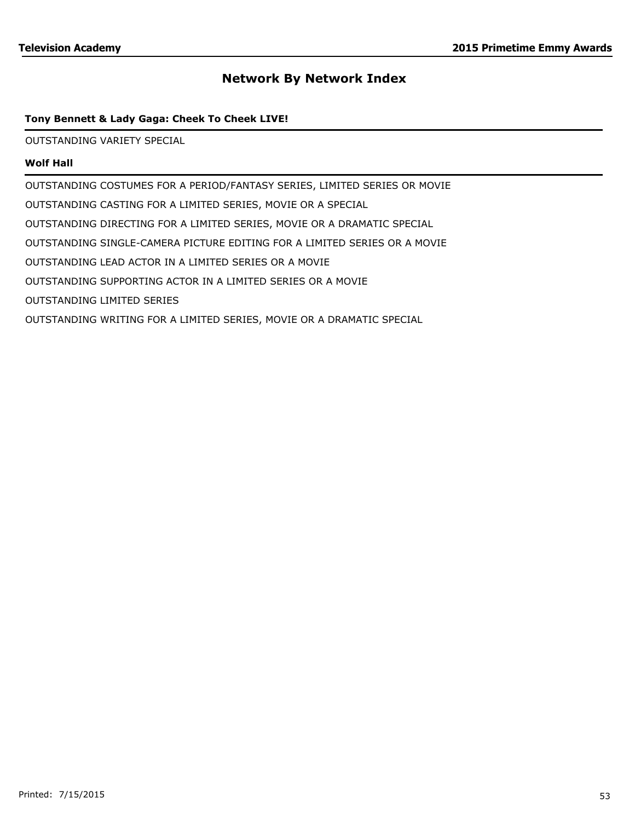## **Tony Bennett & Lady Gaga: Cheek To Cheek LIVE!**

OUTSTANDING VARIETY SPECIAL

## **Wolf Hall**

OUTSTANDING COSTUMES FOR A PERIOD/FANTASY SERIES, LIMITED SERIES OR MOVIE OUTSTANDING CASTING FOR A LIMITED SERIES, MOVIE OR A SPECIAL OUTSTANDING DIRECTING FOR A LIMITED SERIES, MOVIE OR A DRAMATIC SPECIAL OUTSTANDING SINGLE-CAMERA PICTURE EDITING FOR A LIMITED SERIES OR A MOVIE OUTSTANDING LEAD ACTOR IN A LIMITED SERIES OR A MOVIE OUTSTANDING SUPPORTING ACTOR IN A LIMITED SERIES OR A MOVIE OUTSTANDING LIMITED SERIES OUTSTANDING WRITING FOR A LIMITED SERIES, MOVIE OR A DRAMATIC SPECIAL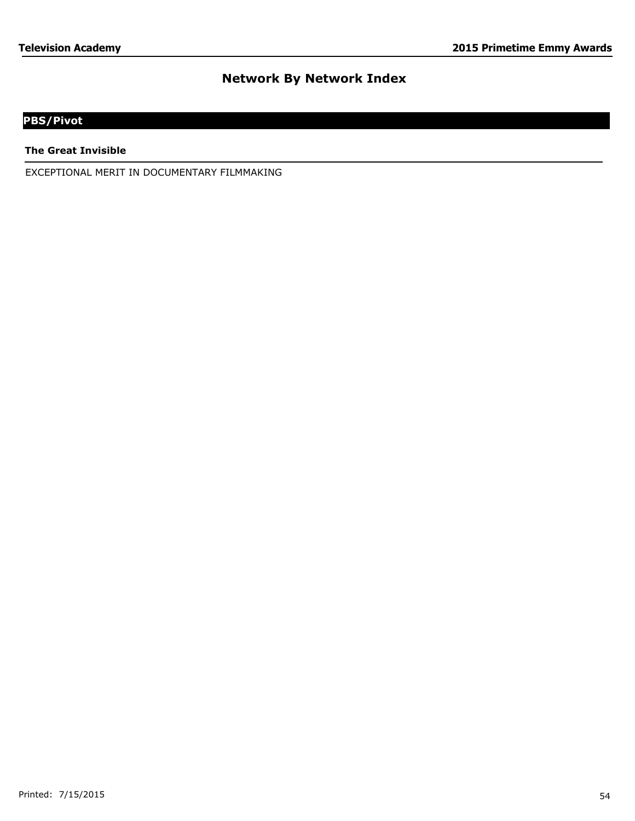# **PBS/Pivot**

**The Great Invisible**

EXCEPTIONAL MERIT IN DOCUMENTARY FILMMAKING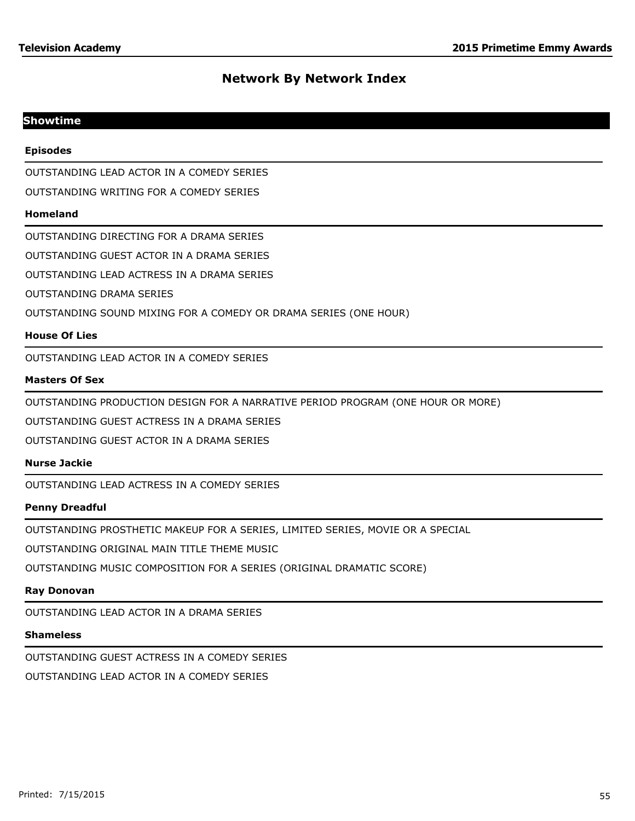# **Showtime**

### **Episodes**

OUTSTANDING LEAD ACTOR IN A COMEDY SERIES

OUTSTANDING WRITING FOR A COMEDY SERIES

#### **Homeland**

OUTSTANDING DIRECTING FOR A DRAMA SERIES

OUTSTANDING GUEST ACTOR IN A DRAMA SERIES

OUTSTANDING LEAD ACTRESS IN A DRAMA SERIES

OUTSTANDING DRAMA SERIES

OUTSTANDING SOUND MIXING FOR A COMEDY OR DRAMA SERIES (ONE HOUR)

## **House Of Lies**

OUTSTANDING LEAD ACTOR IN A COMEDY SERIES

#### **Masters Of Sex**

OUTSTANDING PRODUCTION DESIGN FOR A NARRATIVE PERIOD PROGRAM (ONE HOUR OR MORE)

OUTSTANDING GUEST ACTRESS IN A DRAMA SERIES

OUTSTANDING GUEST ACTOR IN A DRAMA SERIES

#### **Nurse Jackie**

OUTSTANDING LEAD ACTRESS IN A COMEDY SERIES

#### **Penny Dreadful**

OUTSTANDING PROSTHETIC MAKEUP FOR A SERIES, LIMITED SERIES, MOVIE OR A SPECIAL

OUTSTANDING ORIGINAL MAIN TITLE THEME MUSIC

OUTSTANDING MUSIC COMPOSITION FOR A SERIES (ORIGINAL DRAMATIC SCORE)

#### **Ray Donovan**

OUTSTANDING LEAD ACTOR IN A DRAMA SERIES

#### **Shameless**

OUTSTANDING GUEST ACTRESS IN A COMEDY SERIES

OUTSTANDING LEAD ACTOR IN A COMEDY SERIES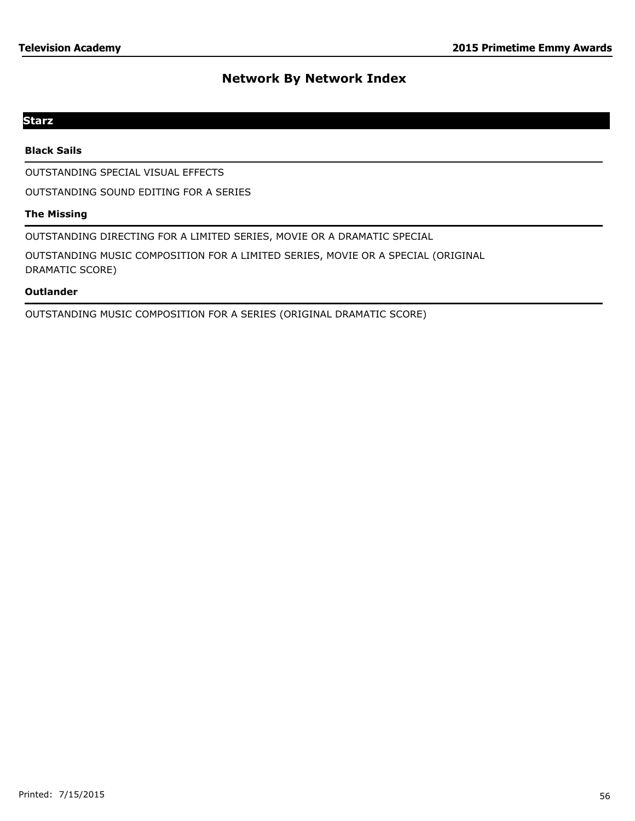# **Starz**

## **Black Sails**

OUTSTANDING SPECIAL VISUAL EFFECTS

OUTSTANDING SOUND EDITING FOR A SERIES

## **The Missing**

OUTSTANDING DIRECTING FOR A LIMITED SERIES, MOVIE OR A DRAMATIC SPECIAL

OUTSTANDING MUSIC COMPOSITION FOR A LIMITED SERIES, MOVIE OR A SPECIAL (ORIGINAL DRAMATIC SCORE)

## **Outlander**

OUTSTANDING MUSIC COMPOSITION FOR A SERIES (ORIGINAL DRAMATIC SCORE)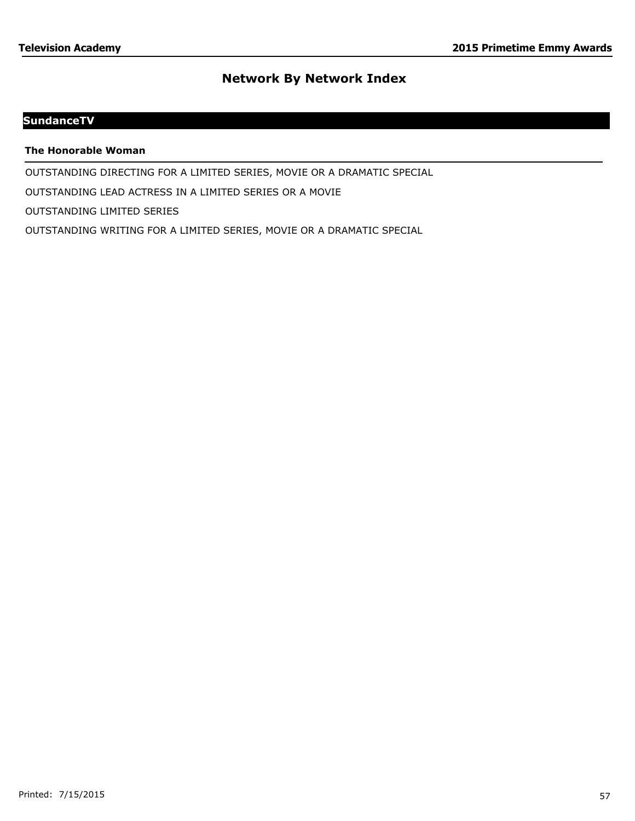# **SundanceTV**

**The Honorable Woman**

OUTSTANDING DIRECTING FOR A LIMITED SERIES, MOVIE OR A DRAMATIC SPECIAL

OUTSTANDING LEAD ACTRESS IN A LIMITED SERIES OR A MOVIE

OUTSTANDING LIMITED SERIES

OUTSTANDING WRITING FOR A LIMITED SERIES, MOVIE OR A DRAMATIC SPECIAL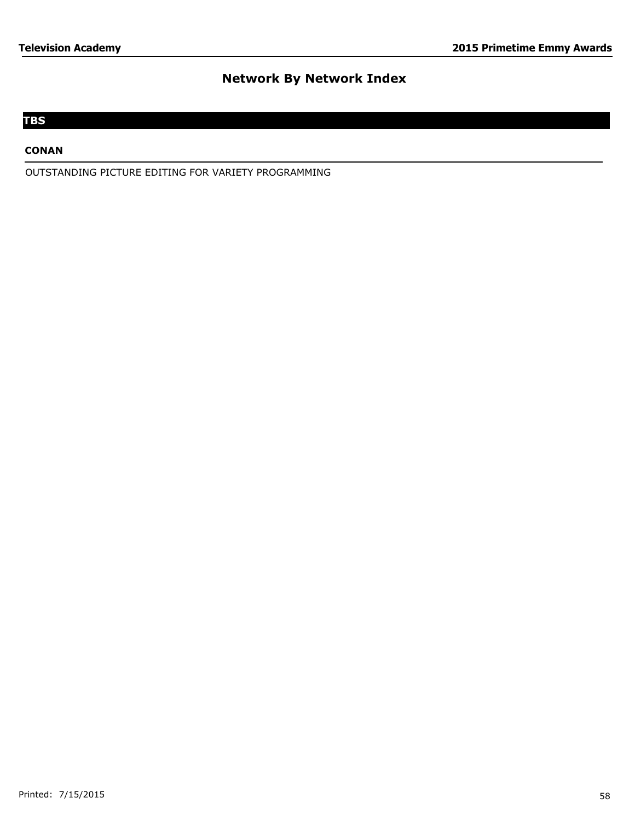# **TBS**

## **CONAN**

OUTSTANDING PICTURE EDITING FOR VARIETY PROGRAMMING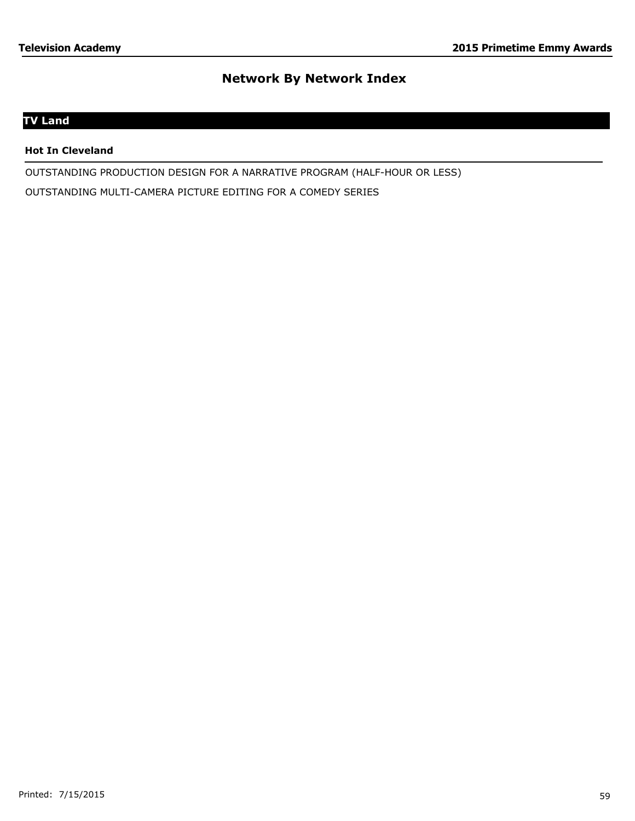# **TV Land**

### **Hot In Cleveland**

OUTSTANDING PRODUCTION DESIGN FOR A NARRATIVE PROGRAM (HALF-HOUR OR LESS) OUTSTANDING MULTI-CAMERA PICTURE EDITING FOR A COMEDY SERIES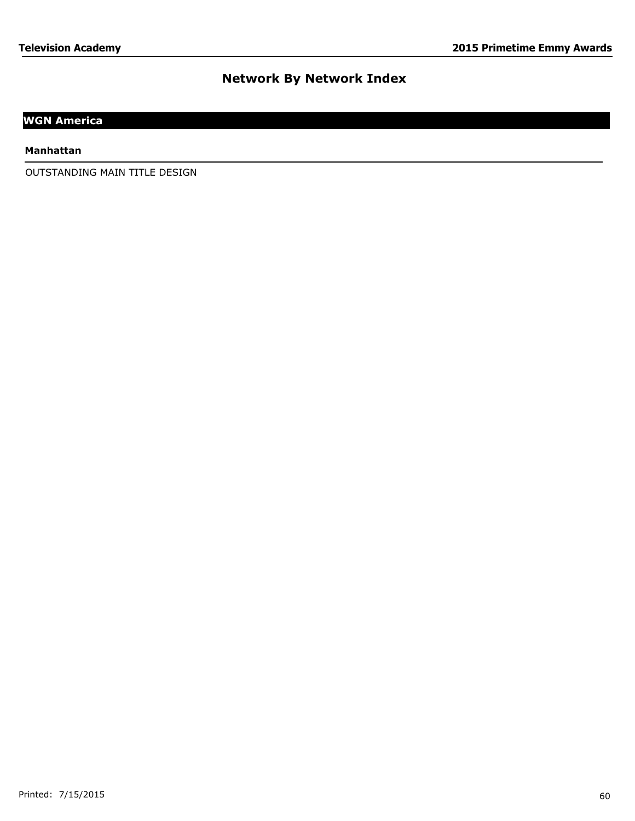# **WGN America**

### **Manhattan**

OUTSTANDING MAIN TITLE DESIGN